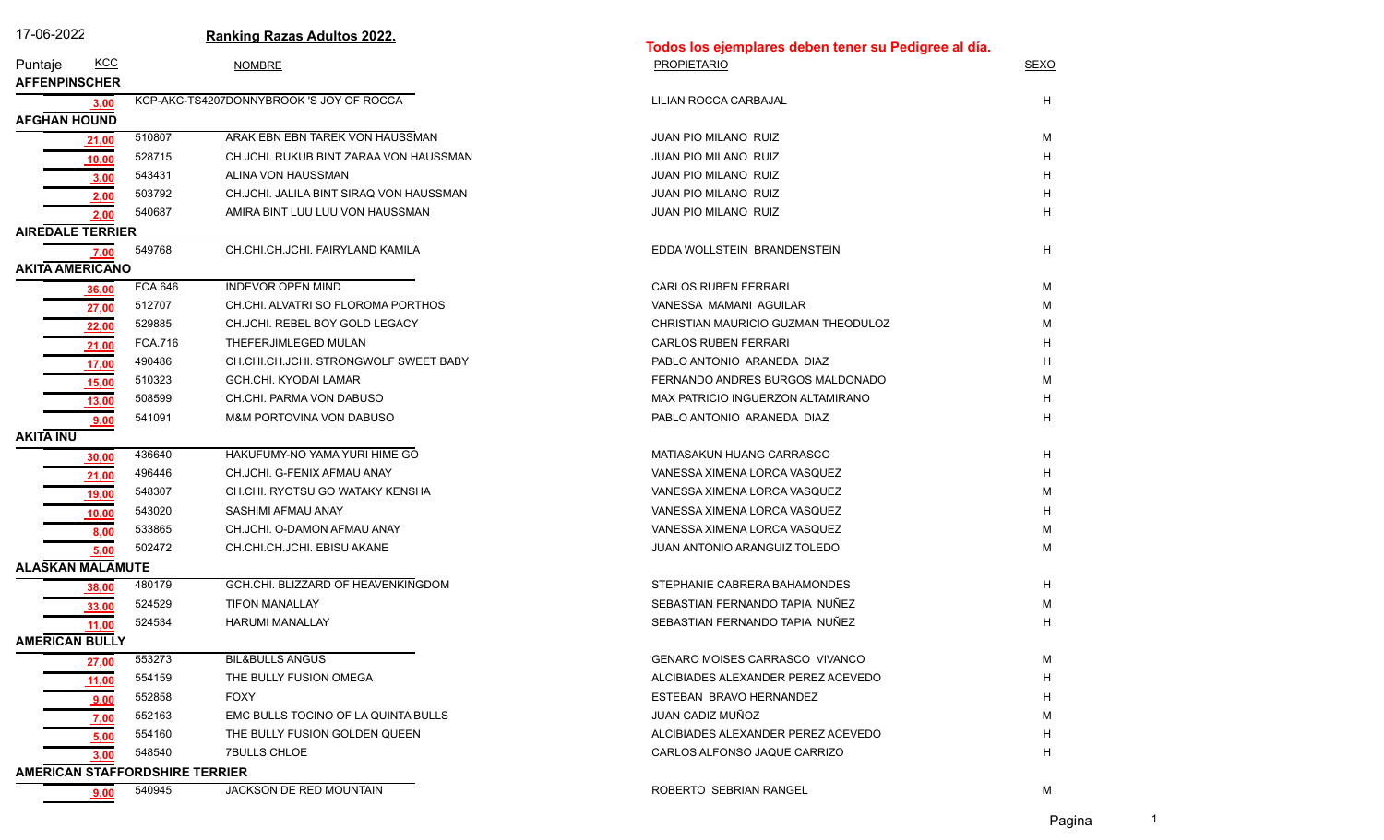| 17-06-2022              |                                       | <b>Ranking Razas Adultos 2022.</b>       |                                                      |             |  |
|-------------------------|---------------------------------------|------------------------------------------|------------------------------------------------------|-------------|--|
|                         |                                       |                                          | Todos los ejemplares deben tener su Pedigree al día. |             |  |
| Puntaje                 | <b>KCC</b>                            | <b>NOMBRE</b>                            | <b>PROPIETARIO</b>                                   | <b>SEXO</b> |  |
| <b>AFFENPINSCHER</b>    |                                       |                                          |                                                      |             |  |
| <b>AFGHAN HOUND</b>     | 3,00                                  | KCP-AKC-TS4207DONNYBROOK 'S JOY OF ROCCA | LILIAN ROCCA CARBAJAL                                | H           |  |
| 21,00                   | 510807                                | ARAK EBN EBN TAREK VON HAUSSMAN          | JUAN PIO MILANO RUIZ                                 | M           |  |
| 10,00                   | 528715                                | CH.JCHI. RUKUB BINT ZARAA VON HAUSSMAN   | <b>JUAN PIO MILANO RUIZ</b>                          | H           |  |
| 3,00                    | 543431                                | ALINA VON HAUSSMAN                       | <b>JUAN PIO MILANO RUIZ</b>                          | Н           |  |
|                         | 503792<br>2,00                        | CH.JCHI. JALILA BINT SIRAQ VON HAUSSMAN  | <b>JUAN PIO MILANO RUIZ</b>                          | Н           |  |
|                         | 540687<br>2,00                        | AMIRA BINT LUU LUU VON HAUSSMAN          | <b>JUAN PIO MILANO RUIZ</b>                          | н           |  |
| <b>AIREDALE TERRIER</b> |                                       |                                          |                                                      |             |  |
|                         | 549768<br>7,00                        | CH.CHI.CH.JCHI. FAIRYLAND KAMILA         | EDDA WOLLSTEIN BRANDENSTEIN                          | н           |  |
| <b>AKITA AMERICANO</b>  |                                       |                                          |                                                      |             |  |
| <u>36,00</u>            | <b>FCA.646</b>                        | <b>INDEVOR OPEN MIND</b>                 | <b>CARLOS RUBEN FERRARI</b>                          | М           |  |
| 27,00                   | 512707                                | CH.CHI. ALVATRI SO FLOROMA PORTHOS       | VANESSA MAMANI AGUILAR                               | м           |  |
| 22,00                   | 529885                                | CH.JCHI. REBEL BOY GOLD LEGACY           | CHRISTIAN MAURICIO GUZMAN THEODULOZ                  | м           |  |
| 21,00                   | <b>FCA.716</b>                        | THEFERJIMLEGED MULAN                     | <b>CARLOS RUBEN FERRARI</b>                          | Н           |  |
| 17,00                   | 490486                                | CH.CHI.CH.JCHI. STRONGWOLF SWEET BABY    | PABLO ANTONIO ARANEDA DIAZ                           | Н           |  |
| 15,00                   | 510323                                | GCH.CHI. KYODAI LAMAR                    | FERNANDO ANDRES BURGOS MALDONADO                     | M           |  |
| 13,00                   | 508599                                | CH.CHI. PARMA VON DABUSO                 | MAX PATRICIO INGUERZON ALTAMIRANO                    | н           |  |
|                         | 541091<br>9,00                        | M&M PORTOVINA VON DABUSO                 | PABLO ANTONIO ARANEDA DIAZ                           | н           |  |
| <b>AKITA INU</b>        |                                       |                                          |                                                      |             |  |
| 30,00                   | 436640                                | HAKUFUMY-NO YAMA YURI HIME GO            | MATIASAKUN HUANG CARRASCO                            | н           |  |
| 21,00                   | 496446                                | CH.JCHI. G-FENIX AFMAU ANAY              | VANESSA XIMENA LORCA VASQUEZ                         | Н           |  |
| 19,00                   | 548307                                | CH.CHI. RYOTSU GO WATAKY KENSHA          | VANESSA XIMENA LORCA VASQUEZ                         | M           |  |
| 10,00                   | 543020                                | SASHIMI AFMAU ANAY                       | VANESSA XIMENA LORCA VASQUEZ                         | H           |  |
|                         | 533865<br>8,00                        | CH.JCHI. O-DAMON AFMAU ANAY              | VANESSA XIMENA LORCA VASQUEZ                         | M           |  |
|                         | 502472<br>5,00                        | CH.CHI.CH.JCHI. EBISU AKANE              | <b>JUAN ANTONIO ARANGUIZ TOLEDO</b>                  | М           |  |
| <b>ALASKAN MALAMUTE</b> |                                       |                                          |                                                      |             |  |
| 38,00                   | 480179                                | GCH.CHI. BLIZZARD OF HEAVENKINGDOM       | STEPHANIE CABRERA BAHAMONDES                         | н           |  |
| 33,00                   | 524529                                | <b>TIFON MANALLAY</b>                    | SEBASTIAN FERNANDO TAPIA NUÑEZ                       | М           |  |
| 11,00                   | 524534                                | <b>HARUMI MANALLAY</b>                   | SEBASTIAN FERNANDO TAPIA NUÑEZ                       | Н           |  |
| <b>AMERICAN BULLY</b>   |                                       |                                          |                                                      |             |  |
| 27,00                   | 553273                                | <b>BIL&amp;BULLS ANGUS</b>               | <b>GENARO MOISES CARRASCO VIVANCO</b>                | M           |  |
| 11,00                   | 554159                                | THE BULLY FUSION OMEGA                   | ALCIBIADES ALEXANDER PEREZ ACEVEDO                   | Н           |  |
| <u>9,00</u>             | 552858                                | <b>FOXY</b>                              | ESTEBAN BRAVO HERNANDEZ                              | н           |  |
| 7,00                    | 552163                                | EMC BULLS TOCINO OF LA QUINTA BULLS      | JUAN CADIZ MUÑOZ                                     | М           |  |
|                         | 554160<br>5,00                        | THE BULLY FUSION GOLDEN QUEEN            | ALCIBIADES ALEXANDER PEREZ ACEVEDO                   | Н           |  |
|                         | 548540<br>3,00                        | <b>7BULLS CHLOE</b>                      | CARLOS ALFONSO JAQUE CARRIZO                         | н           |  |
|                         | <b>AMERICAN STAFFORDSHIRE TERRIER</b> |                                          |                                                      |             |  |
|                         | 540945<br>9,00                        | <b>JACKSON DE RED MOUNTAIN</b>           | ROBERTO SEBRIAN RANGEL                               | М           |  |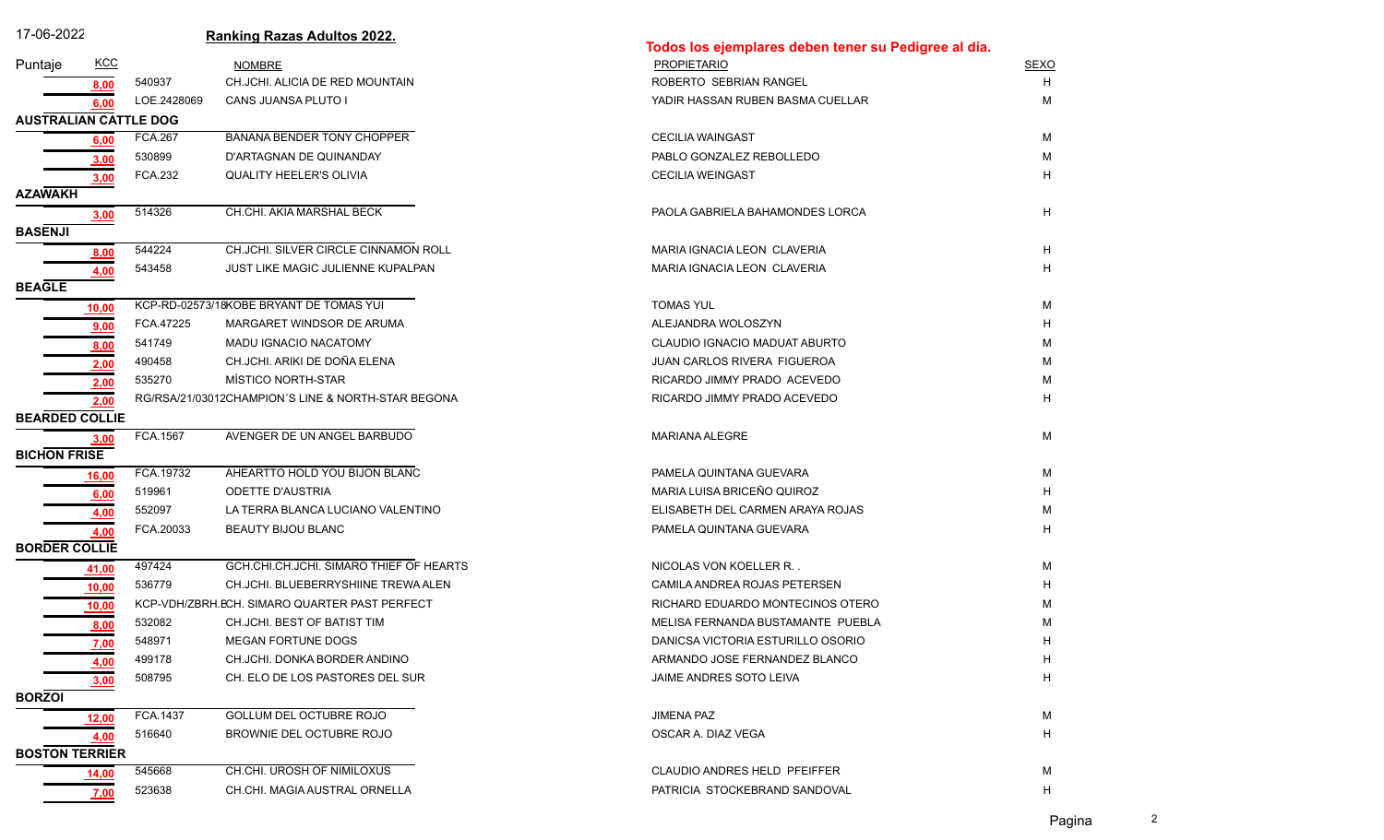| 17-06-2022                   |            |                | <b>Ranking Razas Adultos 2022.</b>                 | Todos los ejemplares deben tener su Pedigree al día. |             |
|------------------------------|------------|----------------|----------------------------------------------------|------------------------------------------------------|-------------|
| Puntaje                      | <u>KCC</u> |                | <b>NOMBRE</b>                                      | <b>PROPIETARIO</b>                                   | <b>SEXO</b> |
|                              | 8,00       | 540937         | CH.JCHI. ALICIA DE RED MOUNTAIN                    | ROBERTO SEBRIAN RANGEL                               | H           |
|                              | 6.00       | LOE.2428069    | CANS JUANSA PLUTO I                                | YADIR HASSAN RUBEN BASMA CUELLAR                     | м           |
| <b>AUSTRALIAN CATTLE DOG</b> |            |                |                                                    |                                                      |             |
|                              | 6,00       | <b>FCA.267</b> | BANANA BENDER TONY CHOPPER                         | <b>CECILIA WAINGAST</b>                              | м           |
|                              | 3,00       | 530899         | D'ARTAGNAN DE QUINANDAY                            | PABLO GONZALEZ REBOLLEDO                             | м           |
|                              | 3,00       | <b>FCA.232</b> | <b>QUALITY HEELER'S OLIVIA</b>                     | <b>CECILIA WEINGAST</b>                              | H           |
| <b>AZAWAKH</b>               |            |                |                                                    |                                                      |             |
|                              | 3,00       | 514326         | CH.CHI. AKIA MARSHAL BECK                          | PAOLA GABRIELA BAHAMONDES LORCA                      | H           |
| <b>BASENJI</b>               |            |                |                                                    |                                                      |             |
|                              | 8,00       | 544224         | CH.JCHI. SILVER CIRCLE CINNAMON ROLL               | MARIA IGNACIA LEON CLAVERIA                          | H           |
|                              | 4.00       | 543458         | JUST LIKE MAGIC JULIENNE KUPALPAN                  | MARIA IGNACIA LEON CLAVERIA                          | H           |
| <b>BEAGLE</b>                |            |                |                                                    |                                                      |             |
|                              | 10,00      |                | KCP-RD-02573/18KOBE BRYANT DE TOMAS YUI            | <b>TOMAS YUL</b>                                     | М           |
|                              | 9,00       | FCA.47225      | MARGARET WINDSOR DE ARUMA                          | ALEJANDRA WOLOSZYN                                   | Н           |
|                              | 8,00       | 541749         | MADU IGNACIO NACATOMY                              | CLAUDIO IGNACIO MADUAT ABURTO                        | М           |
|                              | 2,00       | 490458         | CH.JCHI. ARIKI DE DOÑA ELENA                       | JUAN CARLOS RIVERA FIGUEROA                          | М           |
|                              | 2,00       | 535270         | MÍSTICO NORTH-STAR                                 | RICARDO JIMMY PRADO ACEVEDO                          | М           |
|                              | 2,00       |                | RG/RSA/21/03012CHAMPION'S LINE & NORTH-STAR BEGONA | RICARDO JIMMY PRADO ACEVEDO                          | H           |
| <b>BEARDED COLLIE</b>        |            |                |                                                    |                                                      |             |
|                              | 3,00       | FCA.1567       | AVENGER DE UN ANGEL BARBUDO                        | <b>MARIANA ALEGRE</b>                                | M           |
| <b>BICHON FRISE</b>          |            |                |                                                    |                                                      |             |
|                              | 16,00      | FCA.19732      | AHEARTTO HOLD YOU BIJON BLANC                      | PAMELA QUINTANA GUEVARA                              | м           |
|                              | 6,00       | 519961         | <b>ODETTE D'AUSTRIA</b>                            | MARIA LUISA BRICEÑO QUIROZ                           | H           |
|                              | 4,00       | 552097         | LA TERRA BLANCA LUCIANO VALENTINO                  | ELISABETH DEL CARMEN ARAYA ROJAS                     | М           |
|                              | 4,00       | FCA.20033      | BEAUTY BIJOU BLANC                                 | PAMELA QUINTANA GUEVARA                              | H           |
| <b>BORDER COLLIE</b>         |            |                |                                                    |                                                      |             |
|                              | 41,00      | 497424         | GCH.CHI.CH.JCHI. SIMARO THIEF OF HEARTS            | NICOLAS VON KOELLER R.                               | м           |
|                              | 10,00      | 536779         | CH.JCHI, BLUEBERRYSHIINE TREWA ALEN                | CAMILA ANDREA ROJAS PETERSEN                         | н           |
|                              | 10,00      |                | KCP-VDH/ZBRH.ECH. SIMARO QUARTER PAST PERFECT      | RICHARD EDUARDO MONTECINOS OTERO                     | М           |
|                              | 8,00       | 532082         | CH.JCHI. BEST OF BATIST TIM                        | MELISA FERNANDA BUSTAMANTE PUEBLA                    | м           |
|                              | 7,00       | 548971         | MEGAN FORTUNE DOGS                                 | DANICSA VICTORIA ESTURILLO OSORIO                    |             |
|                              | 4,00       | 499178         | CH.JCHI. DONKA BORDER ANDINO                       | ARMANDO JOSE FERNANDEZ BLANCO                        | H           |
|                              | 3,00       | 508795         | CH. ELO DE LOS PASTORES DEL SUR                    | JAIME ANDRES SOTO LEIVA                              | H           |
| <b>BORZOI</b>                |            |                |                                                    |                                                      |             |
|                              | 12,00      | FCA.1437       | GOLLUM DEL OCTUBRE ROJO                            | <b>JIMENA PAZ</b>                                    | M           |
|                              | 4,00       | 516640         | BROWNIE DEL OCTUBRE ROJO                           | OSCAR A. DIAZ VEGA                                   | H           |
| <b>BOSTON TERRIER</b>        |            |                |                                                    |                                                      |             |
|                              | 14,00      | 545668         | CH.CHI. UROSH OF NIMILOXUS                         | CLAUDIO ANDRES HELD PFEIFFER                         | м           |
|                              | 7,00       | 523638         | CH.CHI. MAGIA AUSTRAL ORNELLA                      | PATRICIA STOCKEBRAND SANDOVAL                        | н           |

Pagina 2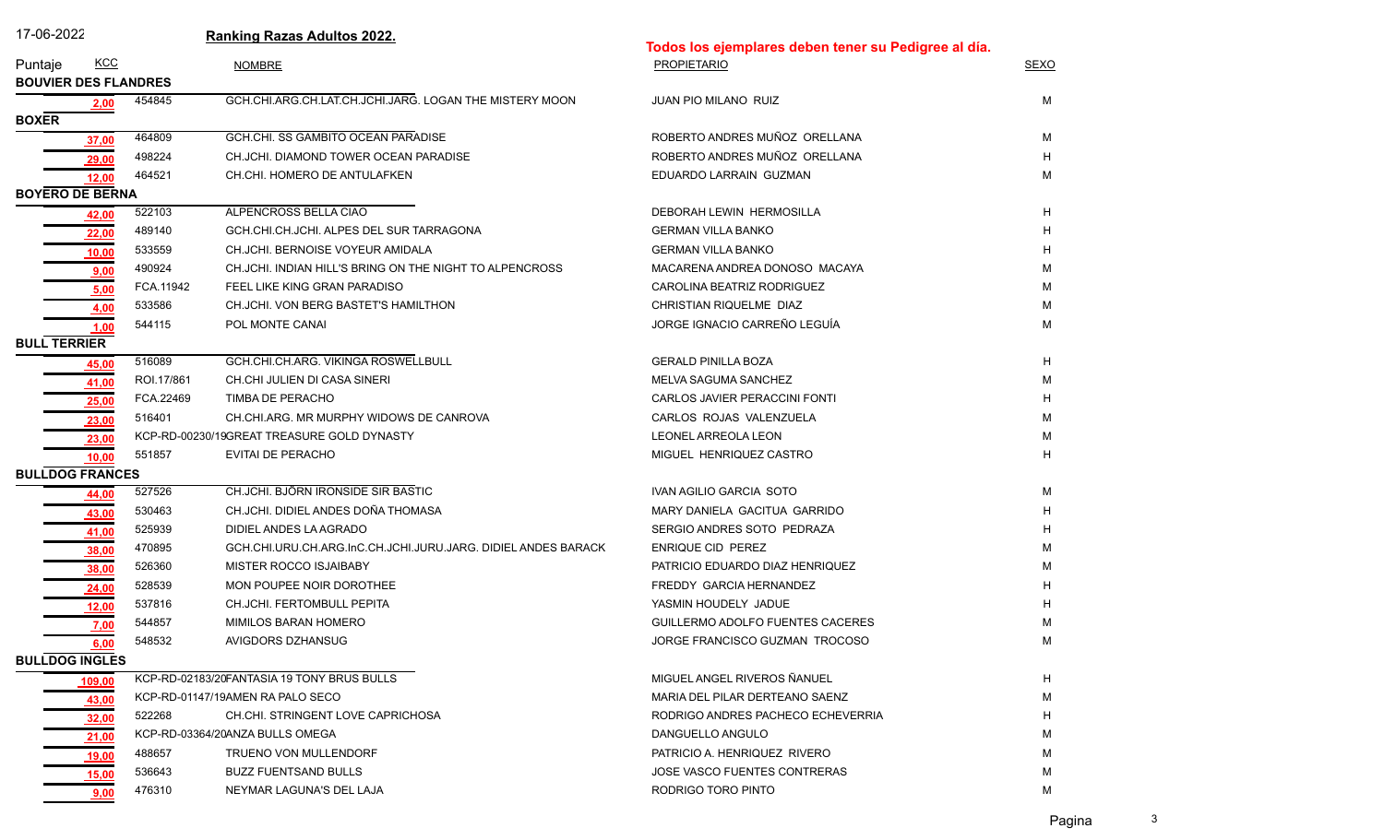|  |  | . -06-20 <sup>--</sup> |  |  |
|--|--|------------------------|--|--|
|  |  |                        |  |  |

| 17-06-2022                  |            |            | <b>Ranking Razas Adultos 2022.</b>                            | Todos los ejemplares deben tener su Pedigree al día. |             |  |
|-----------------------------|------------|------------|---------------------------------------------------------------|------------------------------------------------------|-------------|--|
| Puntaje                     | <b>KCC</b> |            | <b>NOMBRE</b>                                                 | <b>PROPIETARIO</b>                                   | <b>SEXO</b> |  |
| <b>BOUVIER DES FLANDRES</b> |            |            |                                                               |                                                      |             |  |
|                             | 2,00       | 454845     | GCH.CHI.ARG.CH.LAT.CH.JCHI.JARG. LOGAN THE MISTERY MOON       | JUAN PIO MILANO RUIZ                                 | М           |  |
| <b>BOXER</b>                |            |            |                                                               |                                                      |             |  |
|                             | 37,00      | 464809     | GCH.CHI. SS GAMBITO OCEAN PARADISE                            | ROBERTO ANDRES MUÑOZ ORELLANA                        | м           |  |
|                             | 29,00      | 498224     | CH.JCHI. DIAMOND TOWER OCEAN PARADISE                         | ROBERTO ANDRES MUÑOZ ORELLANA                        | н           |  |
|                             | 12,00      | 464521     | CH.CHI. HOMERO DE ANTULAFKEN                                  | EDUARDO LARRAIN GUZMAN                               | M           |  |
| <b>BOYERO DE BERNA</b>      |            |            |                                                               |                                                      |             |  |
|                             | 42,00      | 522103     | ALPENCROSS BELLA CIAO                                         | DEBORAH LEWIN HERMOSILLA                             | H           |  |
|                             | 22,00      | 489140     | GCH.CHI.CH.JCHI. ALPES DEL SUR TARRAGONA                      | <b>GERMAN VILLA BANKO</b>                            | н           |  |
|                             | 10,00      | 533559     | CH.JCHI. BERNOISE VOYEUR AMIDALA                              | <b>GERMAN VILLA BANKO</b>                            | н           |  |
|                             | 9.00       | 490924     | CH.JCHI. INDIAN HILL'S BRING ON THE NIGHT TO ALPENCROSS       | MACARENA ANDREA DONOSO MACAYA                        | м           |  |
|                             | 5,00       | FCA.11942  | FEEL LIKE KING GRAN PARADISO                                  | CAROLINA BEATRIZ RODRIGUEZ                           | м           |  |
|                             | 4,00       | 533586     | CH.JCHI. VON BERG BASTET'S HAMILTHON                          | CHRISTIAN RIQUELME DIAZ                              | М           |  |
|                             | 1,00       | 544115     | POL MONTE CANAI                                               | JORGE IGNACIO CARREÑO LEGUÍA                         | M           |  |
| <b>BULL TERRIER</b>         |            |            |                                                               |                                                      |             |  |
|                             | 45,00      | 516089     | GCH.CHI.CH.ARG. VIKINGA ROSWELLBULL                           | <b>GERALD PINILLA BOZA</b>                           | H           |  |
|                             | 41,00      | ROI.17/861 | CH.CHI JULIEN DI CASA SINERI                                  | MELVA SAGUMA SANCHEZ                                 | M           |  |
|                             | 25,00      | FCA.22469  | TIMBA DE PERACHO                                              | CARLOS JAVIER PERACCINI FONTI                        | Н           |  |
|                             | 23,00      | 516401     | CH.CHI.ARG. MR MURPHY WIDOWS DE CANROVA                       | CARLOS ROJAS VALENZUELA                              | м           |  |
|                             | 23,00      |            | KCP-RD-00230/19GREAT TREASURE GOLD DYNASTY                    | LEONEL ARREOLA LEON                                  | М           |  |
|                             | 10,00      | 551857     | EVITAI DE PERACHO                                             | MIGUEL HENRIQUEZ CASTRO                              | н           |  |
| <b>BULLDOG FRANCES</b>      |            |            |                                                               |                                                      |             |  |
|                             | 44,00      | 527526     | CH.JCHI. BJÖRN IRONSIDE SIR BASTIC                            | IVAN AGILIO GARCIA SOTO                              | М           |  |
|                             | 43,00      | 530463     | CH.JCHI. DIDIEL ANDES DOÑA THOMASA                            | MARY DANIELA GACITUA GARRIDO                         | н           |  |
|                             | 41,00      | 525939     | DIDIEL ANDES LA AGRADO                                        | SERGIO ANDRES SOTO PEDRAZA                           | н           |  |
|                             | 38,00      | 470895     | GCH.CHI.URU.CH.ARG.InC.CH.JCHI.JURU.JARG. DIDIEL ANDES BARACK | ENRIQUE CID PEREZ                                    | м           |  |
|                             | 38,00      | 526360     | MISTER ROCCO ISJAIBABY                                        | PATRICIO EDUARDO DIAZ HENRIQUEZ                      | м           |  |
|                             | 24,00      | 528539     | MON POUPEE NOIR DOROTHEE                                      | FREDDY GARCIA HERNANDEZ                              |             |  |
|                             | 12,00      | 537816     | CH.JCHI. FERTOMBULL PEPITA                                    | YASMIN HOUDELY JADUE                                 |             |  |
|                             | 7,00       | 544857     | MIMILOS BARAN HOMERO                                          | GUILLERMO ADOLFO FUENTES CACERES                     |             |  |
|                             | 6,00       | 548532     | AVIGDORS DZHANSUG                                             | JORGE FRANCISCO GUZMAN TROCOSO                       | М           |  |
| <b>BULLDOG INGLES</b>       |            |            |                                                               |                                                      |             |  |
|                             | 109,00     |            | KCP-RD-02183/20FANTASIA 19 TONY BRUS BULLS                    | MIGUEL ANGEL RIVEROS ÑANUEL                          | н           |  |
|                             | 43,00      |            | KCP-RD-01147/19AMEN RA PALO SECO                              | MARIA DEL PILAR DERTEANO SAENZ                       | М           |  |
|                             | 32,00      | 522268     | CH.CHI. STRINGENT LOVE CAPRICHOSA                             | RODRIGO ANDRES PACHECO ECHEVERRIA                    | н           |  |
|                             | 21,00      |            | KCP-RD-03364/20ANZA BULLS OMEGA                               | DANGUELLO ANGULO                                     | М           |  |
|                             | 19,00      | 488657     | TRUENO VON MULLENDORF                                         | PATRICIO A. HENRIQUEZ RIVERO                         | М           |  |
|                             | 15,00      | 536643     | <b>BUZZ FUENTSAND BULLS</b>                                   | JOSE VASCO FUENTES CONTRERAS                         | М           |  |
|                             | 9,00       | 476310     | NEYMAR LAGUNA'S DEL LAJA                                      | RODRIGO TORO PINTO                                   | м           |  |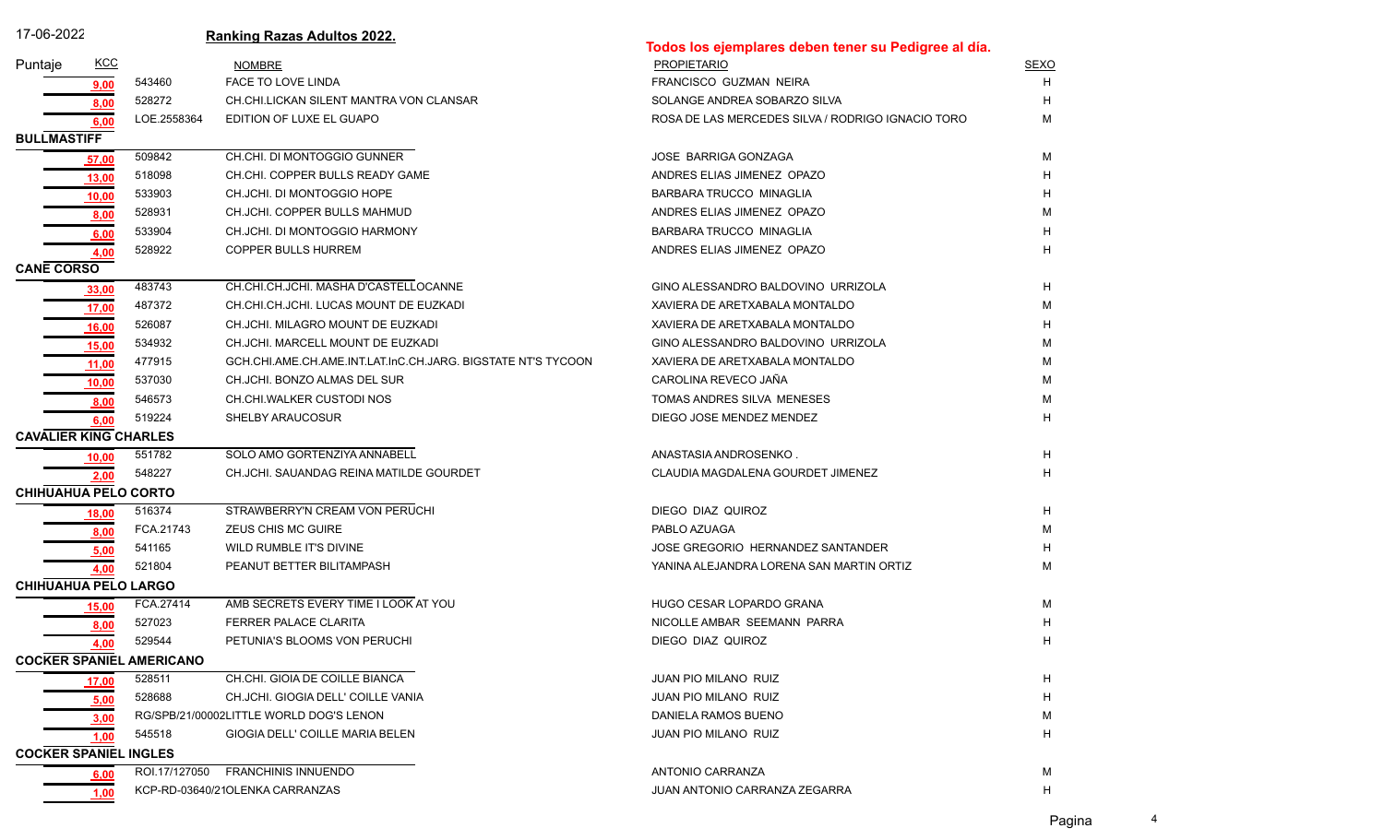| 17-06-2022                   |            |                                 | <b>Ranking Razas Adultos 2022.</b>                           |                                                      |             |
|------------------------------|------------|---------------------------------|--------------------------------------------------------------|------------------------------------------------------|-------------|
|                              |            |                                 |                                                              | Todos los ejemplares deben tener su Pedigree al día. |             |
| Puntaje                      | <b>KCC</b> |                                 | <b>NOMBRE</b>                                                | <b>PROPIETARIO</b>                                   | <b>SEXO</b> |
|                              | 9,00       | 543460                          | FACE TO LOVE LINDA                                           | FRANCISCO GUZMAN NEIRA                               | H           |
|                              | 8,00       | 528272                          | CH.CHI.LICKAN SILENT MANTRA VON CLANSAR                      | SOLANGE ANDREA SOBARZO SILVA                         |             |
|                              | 6,00       | LOE.2558364                     | EDITION OF LUXE EL GUAPO                                     | ROSA DE LAS MERCEDES SILVA / RODRIGO IGNACIO TORO    | м           |
| <b>BULLMASTIFF</b>           |            |                                 |                                                              |                                                      |             |
|                              | 57,00      | 509842                          | CH.CHI. DI MONTOGGIO GUNNER                                  | <b>JOSE BARRIGA GONZAGA</b>                          | м           |
|                              | 13,00      | 518098                          | CH.CHI. COPPER BULLS READY GAME                              | ANDRES ELIAS JIMENEZ OPAZO                           |             |
|                              | 10,00      | 533903                          | CH.JCHI. DI MONTOGGIO HOPE                                   | <b>BARBARA TRUCCO MINAGLIA</b>                       |             |
|                              | 8,00       | 528931                          | CH.JCHI. COPPER BULLS MAHMUD                                 | ANDRES ELIAS JIMENEZ OPAZO                           | м           |
|                              | 6,00       | 533904                          | CH.JCHI. DI MONTOGGIO HARMONY                                | BARBARA TRUCCO MINAGLIA                              |             |
|                              | 4,00       | 528922                          | <b>COPPER BULLS HURREM</b>                                   | ANDRES ELIAS JIMENEZ OPAZO                           |             |
| <b>CANE CORSO</b>            |            |                                 |                                                              |                                                      |             |
|                              | 33,00      | 483743                          | CH.CHI.CH.JCHI. MASHA D'CASTELLOCANNE                        | GINO ALESSANDRO BALDOVINO URRIZOLA                   | Н           |
|                              | 17,00      | 487372                          | CH.CHI.CH.JCHI. LUCAS MOUNT DE EUZKADI                       | XAVIERA DE ARETXABALA MONTALDO                       | M           |
|                              | 16,00      | 526087                          | CH.JCHI. MILAGRO MOUNT DE EUZKADI                            | XAVIERA DE ARETXABALA MONTALDO                       |             |
|                              | 15,00      | 534932                          | CH.JCHI. MARCELL MOUNT DE EUZKADI                            | GINO ALESSANDRO BALDOVINO URRIZOLA                   | м           |
|                              | 11,00      | 477915                          | GCH.CHI.AME.CH.AME.INT.LAT.InC.CH.JARG. BIGSTATE NT'S TYCOON | XAVIERA DE ARETXABALA MONTALDO                       | м           |
|                              | 10,00      | 537030                          | CH.JCHI. BONZO ALMAS DEL SUR                                 | CAROLINA REVECO JAÑA                                 | м           |
|                              | 8,00       | 546573                          | CH.CHI.WALKER CUSTODI NOS                                    | TOMAS ANDRES SILVA MENESES                           | м           |
|                              | 6,00       | 519224                          | <b>SHELBY ARAUCOSUR</b>                                      | DIEGO JOSE MENDEZ MENDEZ                             | н           |
| <b>CAVALIER KING CHARLES</b> |            |                                 |                                                              |                                                      |             |
|                              | 10,00      | 551782                          | SOLO AMO GORTENZIYA ANNABELL                                 | ANASTASIA ANDROSENKO.                                | н           |
|                              | 2,00       | 548227                          | CH.JCHI. SAUANDAG REINA MATILDE GOURDET                      | CLAUDIA MAGDALENA GOURDET JIMENEZ                    | н           |
| <b>CHIHUAHUA PELO CORTO</b>  |            |                                 |                                                              |                                                      |             |
|                              | 18,00      | 516374                          | STRAWBERRY'N CREAM VON PERUCHI                               | DIEGO DIAZ QUIROZ                                    | H           |
|                              | 8,00       | FCA.21743                       | ZEUS CHIS MC GUIRE                                           | PABLO AZUAGA                                         | м           |
|                              | 5,00       | 541165                          | WILD RUMBLE IT'S DIVINE                                      | JOSE GREGORIO HERNANDEZ SANTANDER                    |             |
|                              | 4,00       | 521804                          | PEANUT BETTER BILITAMPASH                                    | YANINA ALEJANDRA LORENA SAN MARTIN ORTIZ             | М           |
| CHIHUAHUA PELO LARGO         |            |                                 |                                                              |                                                      |             |
|                              | 15,00      | FCA.27414                       | AMB SECRETS EVERY TIME I LOOK AT YOU                         | HUGO CESAR LOPARDO GRANA                             | М           |
|                              | 8,00       | 527023                          | FERRER PALACE CLARITA                                        | NICOLLE AMBAR SEEMANN PARRA                          | Н           |
|                              | 4,00       | 529544                          | PETUNIA'S BLOOMS VON PERUCHI                                 | DIEGO DIAZ QUIROZ                                    | H.          |
|                              |            | <b>COCKER SPANIEL AMERICANO</b> |                                                              |                                                      |             |
|                              | 17,00      | 528511                          | CH.CHI. GIOIA DE COILLE BIANCA                               | JUAN PIO MILANO RUIZ                                 | H           |
|                              | 5,00       | 528688                          | CH.JCHI. GIOGIA DELL' COILLE VANIA                           | JUAN PIO MILANO RUIZ                                 | H           |
|                              | 3,00       |                                 | RG/SPB/21/00002LITTLE WORLD DOG'S LENON                      | DANIELA RAMOS BUENO                                  | М           |
|                              | 1.00       | 545518                          | GIOGIA DELL' COILLE MARIA BELEN                              | <b>JUAN PIO MILANO RUIZ</b>                          | н           |
| <b>COCKER SPANIEL INGLES</b> |            |                                 |                                                              |                                                      |             |
|                              | 6,00       | ROI.17/127050                   | <b>FRANCHINIS INNUENDO</b>                                   | ANTONIO CARRANZA                                     | М           |
|                              | 1,00       |                                 | KCP-RD-03640/21OLENKA CARRANZAS                              | JUAN ANTONIO CARRANZA ZEGARRA                        | H           |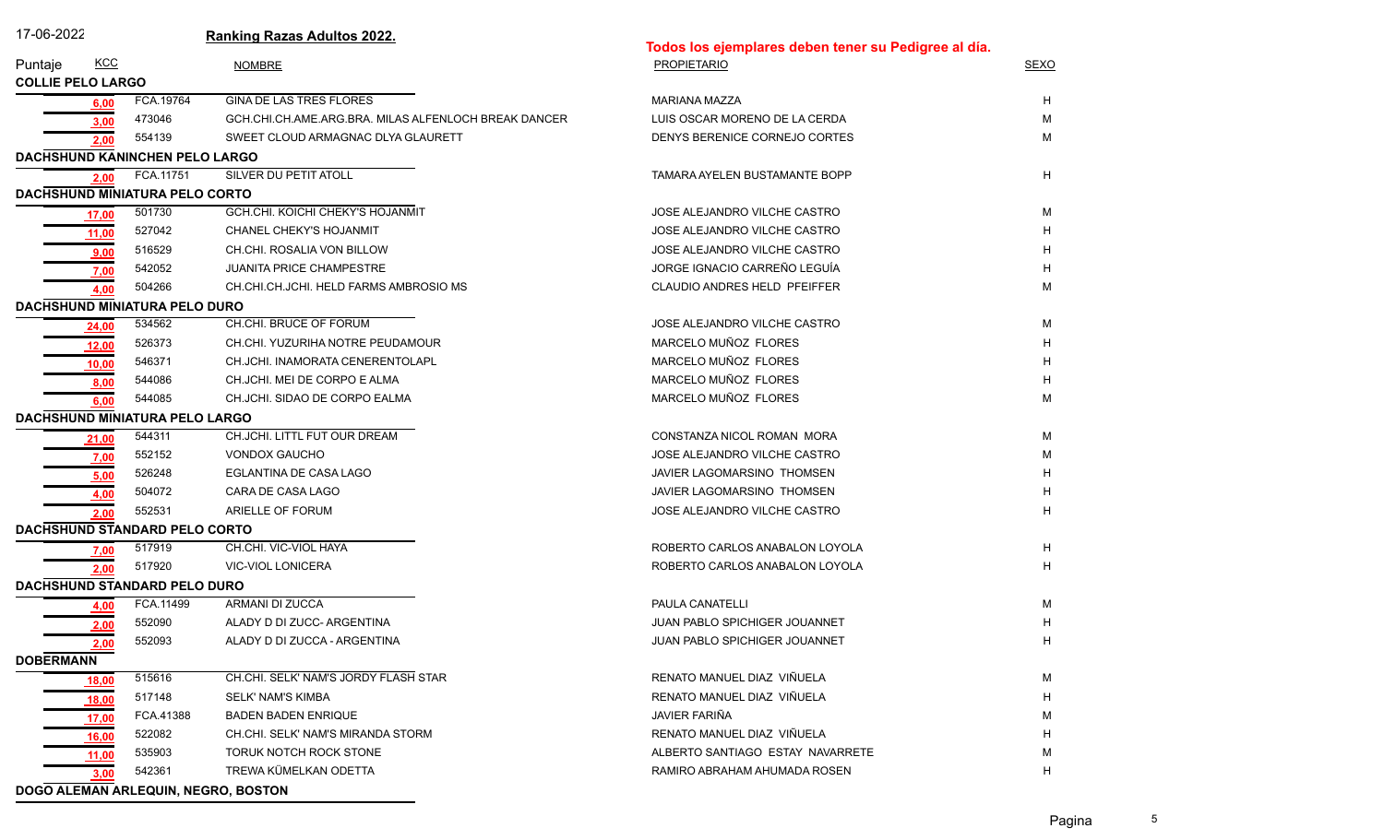| 17-06-2022               |              |                                       | <b>Ranking Razas Adultos 2022.</b>                   | Todos los ejemplares deben tener su Pedigree al día. |             |
|--------------------------|--------------|---------------------------------------|------------------------------------------------------|------------------------------------------------------|-------------|
| Puntaje                  | <u>KCC</u>   |                                       | <b>NOMBRE</b>                                        | <b>PROPIETARIO</b>                                   | <b>SEXO</b> |
| <b>COLLIE PELO LARGO</b> |              |                                       |                                                      |                                                      |             |
|                          | 6,00         | FCA.19764                             | <b>GINA DE LAS TRES FLORES</b>                       | <b>MARIANA MAZZA</b>                                 | H           |
|                          | 3,00         | 473046                                | GCH.CHI.CH.AME.ARG.BRA. MILAS ALFENLOCH BREAK DANCER | LUIS OSCAR MORENO DE LA CERDA                        | м           |
|                          | 2,00         | 554139                                | SWEET CLOUD ARMAGNAC DLYA GLAURETT                   | DENYS BERENICE CORNEJO CORTES                        | M           |
|                          |              | DACHSHUND KANINCHEN PELO LARGO        |                                                      |                                                      |             |
|                          | 2,00         | FCA.11751                             | SILVER DU PETIT ATOLL                                | TAMARA AYELEN BUSTAMANTE BOPP                        | H           |
|                          |              | DACHSHUND MINIATURA PELO CORTO        |                                                      |                                                      |             |
|                          | 17,00        | 501730                                | <b>GCH.CHI. KOICHI CHEKY'S HOJANMIT</b>              | JOSE ALEJANDRO VILCHE CASTRO                         | м           |
|                          | 11,00        | 527042                                | CHANEL CHEKY'S HOJANMIT                              | JOSE ALEJANDRO VILCHE CASTRO                         | н           |
|                          | 9,00         | 516529                                | CH.CHI. ROSALIA VON BILLOW                           | JOSE ALEJANDRO VILCHE CASTRO                         |             |
|                          | 7,00         | 542052                                | <b>JUANITA PRICE CHAMPESTRE</b>                      | JORGE IGNACIO CARREÑO LEGUÍA                         | н           |
|                          | 4,00         | 504266                                | CH.CHI.CH.JCHI. HELD FARMS AMBROSIO MS               | CLAUDIO ANDRES HELD PFEIFFER                         | M           |
|                          |              | <b>DACHSHUND MINIATURA PELO DURO</b>  |                                                      |                                                      |             |
|                          | 24,00        | 534562                                | CH.CHI. BRUCE OF FORUM                               | JOSE ALEJANDRO VILCHE CASTRO                         | M           |
|                          | 12,00        | 526373                                | CH.CHI. YUZURIHA NOTRE PEUDAMOUR                     | MARCELO MUÑOZ FLORES                                 | н           |
|                          | 10,00        | 546371                                | CH.JCHI. INAMORATA CENERENTOLAPL                     | MARCELO MUÑOZ FLORES                                 |             |
|                          | 8,00         | 544086                                | CH.JCHI. MEI DE CORPO E ALMA                         | MARCELO MUÑOZ FLORES                                 | н           |
|                          | 6,00         | 544085                                | CH.JCHI. SIDAO DE CORPO EALMA                        | MARCELO MUÑOZ FLORES                                 | М           |
|                          |              | <b>DACHSHUND MINIATURA PELO LARGO</b> |                                                      |                                                      |             |
|                          | 21,00        | 544311                                | CH.JCHI. LITTL FUT OUR DREAM                         | CONSTANZA NICOL ROMAN MORA                           | м           |
|                          | 7,00         | 552152                                | <b>VONDOX GAUCHO</b>                                 | JOSE ALEJANDRO VILCHE CASTRO                         | M           |
|                          | 5,00         | 526248                                | EGLANTINA DE CASA LAGO                               | JAVIER LAGOMARSINO THOMSEN                           |             |
|                          | 4,00         | 504072                                | CARA DE CASA LAGO                                    | JAVIER LAGOMARSINO THOMSEN                           | н           |
|                          | 2,00         | 552531                                | ARIELLE OF FORUM                                     | JOSE ALEJANDRO VILCHE CASTRO                         | н           |
|                          |              | DACHSHUND STANDARD PELO CORTO         |                                                      |                                                      |             |
|                          | 7,00         | 517919                                | CH.CHI. VIC-VIOL HAYA                                | ROBERTO CARLOS ANABALON LOYOLA                       | H           |
|                          | 2,00         | 517920                                | VIC-VIOL LONICERA                                    | ROBERTO CARLOS ANABALON LOYOLA                       | н           |
|                          |              | DACHSHUND STANDARD PELO DURO          |                                                      |                                                      |             |
|                          | 4,00         | FCA.11499                             | ARMANI DI ZUCCA                                      | PAULA CANATELLI                                      | м           |
|                          | 2,00         | 552090                                | ALADY D DI ZUCC- ARGENTINA                           | JUAN PABLO SPICHIGER JOUANNET                        |             |
|                          | 2,00         | 552093                                | ALADY D DI ZUCCA - ARGENTINA                         | JUAN PABLO SPICHIGER JOUANNET                        |             |
| <b>DOBERMANN</b>         |              |                                       |                                                      |                                                      |             |
|                          | 18,00        | 515616                                | CH.CHI. SELK' NAM'S JORDY FLASH STAR                 | RENATO MANUEL DIAZ VIÑUELA                           | м           |
|                          | 18,00        | 517148                                | <b>SELK' NAM'S KIMBA</b>                             | RENATO MANUEL DIAZ VIÑUELA                           | н           |
|                          | <u>17,00</u> | FCA.41388                             | <b>BADEN BADEN ENRIQUE</b>                           | JAVIER FARIÑA                                        | М           |
|                          | 16,00        | 522082                                | CH.CHI. SELK' NAM'S MIRANDA STORM                    | RENATO MANUEL DIAZ VIÑUELA                           | Н           |
|                          | 11,00        | 535903                                | TORUK NOTCH ROCK STONE                               | ALBERTO SANTIAGO ESTAY NAVARRETE                     | м           |
|                          | 3.00         | 542361                                | TREWA KÜMELKAN ODETTA                                | RAMIRO ABRAHAM AHUMADA ROSEN                         | н           |
|                          |              |                                       | DOGO ALEMAN ARLEQUIN, NEGRO, BOSTON                  |                                                      |             |

Pagina 5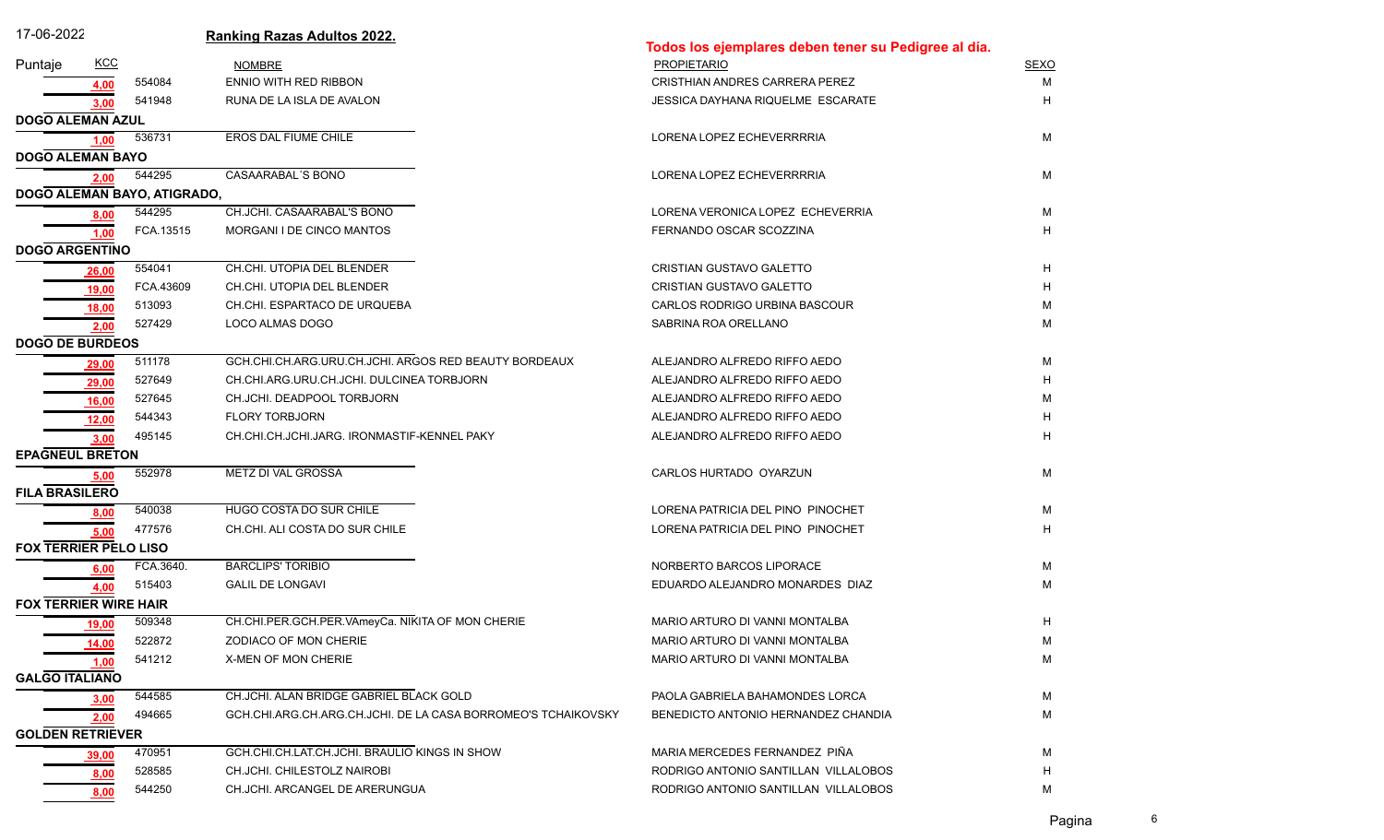| 17-06-2022                   |             |                             | <b>Ranking Razas Adultos 2022.</b>                            | Todos los ejemplares deben tener su Pedigree al día. |             |
|------------------------------|-------------|-----------------------------|---------------------------------------------------------------|------------------------------------------------------|-------------|
| Puntaje                      | <u>KCC</u>  |                             | <b>NOMBRE</b>                                                 | <b>PROPIETARIO</b>                                   | <b>SEXO</b> |
|                              | 4,00        | 554084                      | <b>ENNIO WITH RED RIBBON</b>                                  | <b>CRISTHIAN ANDRES CARRERA PEREZ</b>                | М           |
|                              | 3.00        | 541948                      | RUNA DE LA ISLA DE AVALON                                     | JESSICA DAYHANA RIQUELME ESCARATE                    | н           |
| <b>DOGO ALEMAN AZUL</b>      |             |                             |                                                               |                                                      |             |
|                              | 1,00        | 536731                      | EROS DAL FIUME CHILE                                          | LORENA LOPEZ ECHEVERRRRIA                            | М           |
| <b>DOGO ALEMAN BAYO</b>      |             |                             |                                                               |                                                      |             |
|                              | 2,00        | 544295                      | CASAARABAL'S BONO                                             | LORENA LOPEZ ECHEVERRRRIA                            | М           |
|                              |             | DOGO ALEMAN BAYO, ATIGRADO, |                                                               |                                                      |             |
|                              | 8,00        | 544295                      | CH.JCHI. CASAARABAL'S BONO                                    | LORENA VERONICA LOPEZ ECHEVERRIA                     | M           |
|                              | 1,00        | FCA 13515                   | MORGANI I DE CINCO MANTOS                                     | FERNANDO OSCAR SCOZZINA                              | н           |
| <b>DOGO ARGENTINO</b>        |             |                             |                                                               |                                                      |             |
|                              | 26,00       | 554041                      | CH.CHI. UTOPIA DEL BLENDER                                    | CRISTIAN GUSTAVO GALETTO                             | H           |
|                              | 19,00       | FCA.43609                   | CH.CHI. UTOPIA DEL BLENDER                                    | CRISTIAN GUSTAVO GALETTO                             | н           |
|                              | 18,00       | 513093                      | CH.CHI. ESPARTACO DE URQUEBA                                  | CARLOS RODRIGO URBINA BASCOUR                        | M           |
|                              | 2,00        | 527429                      | LOCO ALMAS DOGO                                               | SABRINA ROA ORELLANO                                 | M           |
| <b>DOGO DE BURDEOS</b>       |             |                             |                                                               |                                                      |             |
|                              | 29,00       | 511178                      | GCH.CHI.CH.ARG.URU.CH.JCHI. ARGOS RED BEAUTY BORDEAUX         | ALEJANDRO ALFREDO RIFFO AEDO                         | М           |
|                              | 29,00       | 527649                      | CH.CHI.ARG.URU.CH.JCHI. DULCINEA TORBJORN                     | ALEJANDRO ALFREDO RIFFO AEDO                         | н           |
|                              | 16,00       | 527645                      | CH.JCHI. DEADPOOL TORBJORN                                    | ALEJANDRO ALFREDO RIFFO AEDO                         | м           |
|                              | 12,00       | 544343                      | <b>FLORY TORBJORN</b>                                         | ALEJANDRO ALFREDO RIFFO AEDO                         | н           |
|                              | 3,00        | 495145                      | CH.CHI.CH.JCHI.JARG. IRONMASTIF-KENNEL PAKY                   | ALEJANDRO ALFREDO RIFFO AEDO                         | н           |
| <b>EPAGNEUL BRETON</b>       |             |                             |                                                               |                                                      |             |
|                              | 5,00        | 552978                      | METZ DI VAL GROSSA                                            | CARLOS HURTADO OYARZUN                               | М           |
| <b>FILA BRASILERO</b>        |             |                             |                                                               |                                                      |             |
|                              | 8,00        | 540038                      | HUGO COSTA DO SUR CHILE                                       | LORENA PATRICIA DEL PINO PINOCHET                    | М           |
|                              | 5,00        | 477576                      | CH.CHI. ALI COSTA DO SUR CHILE                                | LORENA PATRICIA DEL PINO PINOCHET                    | н           |
| <b>FOX TERRIER PELO LISO</b> |             |                             |                                                               |                                                      |             |
|                              | 6,00        | FCA.3640.                   | <b>BARCLIPS' TORIBIO</b>                                      | NORBERTO BARCOS LIPORACE                             | М           |
|                              | 4,00        | 515403                      | <b>GALIL DE LONGAVI</b>                                       | EDUARDO ALEJANDRO MONARDES DIAZ                      | М           |
| <b>FOX TERRIER WIRE HAIR</b> |             |                             |                                                               |                                                      |             |
|                              | 19,00       | 509348                      | CH.CHI.PER.GCH.PER.VAmeyCa. NIKITA OF MON CHERIE              | MARIO ARTURO DI VANNI MONTALBA                       | H           |
|                              | 14,00       | 522872                      | ZODIACO OF MON CHERIE                                         | MARIO ARTURO DI VANNI MONTALBA                       | м           |
|                              | <u>1,00</u> | 541212                      | X-MEN OF MON CHERIE                                           | MARIO ARTURO DI VANNI MONTALBA                       | M           |
| <b>GALGO ITALIANO</b>        |             |                             |                                                               |                                                      |             |
|                              | 3,00        | 544585                      | CH.JCHI. ALAN BRIDGE GABRIEL BLACK GOLD                       | PAOLA GABRIELA BAHAMONDES LORCA                      | M           |
|                              | 2,00        | 494665                      | GCH.CHI.ARG.CH.ARG.CH.JCHI. DE LA CASA BORROMEO'S TCHAIKOVSKY | BENEDICTO ANTONIO HERNANDEZ CHANDIA                  | М           |
| <b>GOLDEN RETRIEVER</b>      |             |                             |                                                               |                                                      |             |
|                              | 39,00       | 470951                      | GCH.CHI.CH.LAT.CH.JCHI. BRAULIO KINGS IN SHOW                 | MARIA MERCEDES FERNANDEZ PIÑA                        | м           |
|                              | <u>8,00</u> | 528585                      | CH.JCHI. CHILESTOLZ NAIROBI                                   | RODRIGO ANTONIO SANTILLAN VILLALOBOS                 | H           |
|                              | 8,00        | 544250                      | CH.JCHI. ARCANGEL DE ARERUNGUA                                | RODRIGO ANTONIO SANTILLAN VILLALOBOS                 | м           |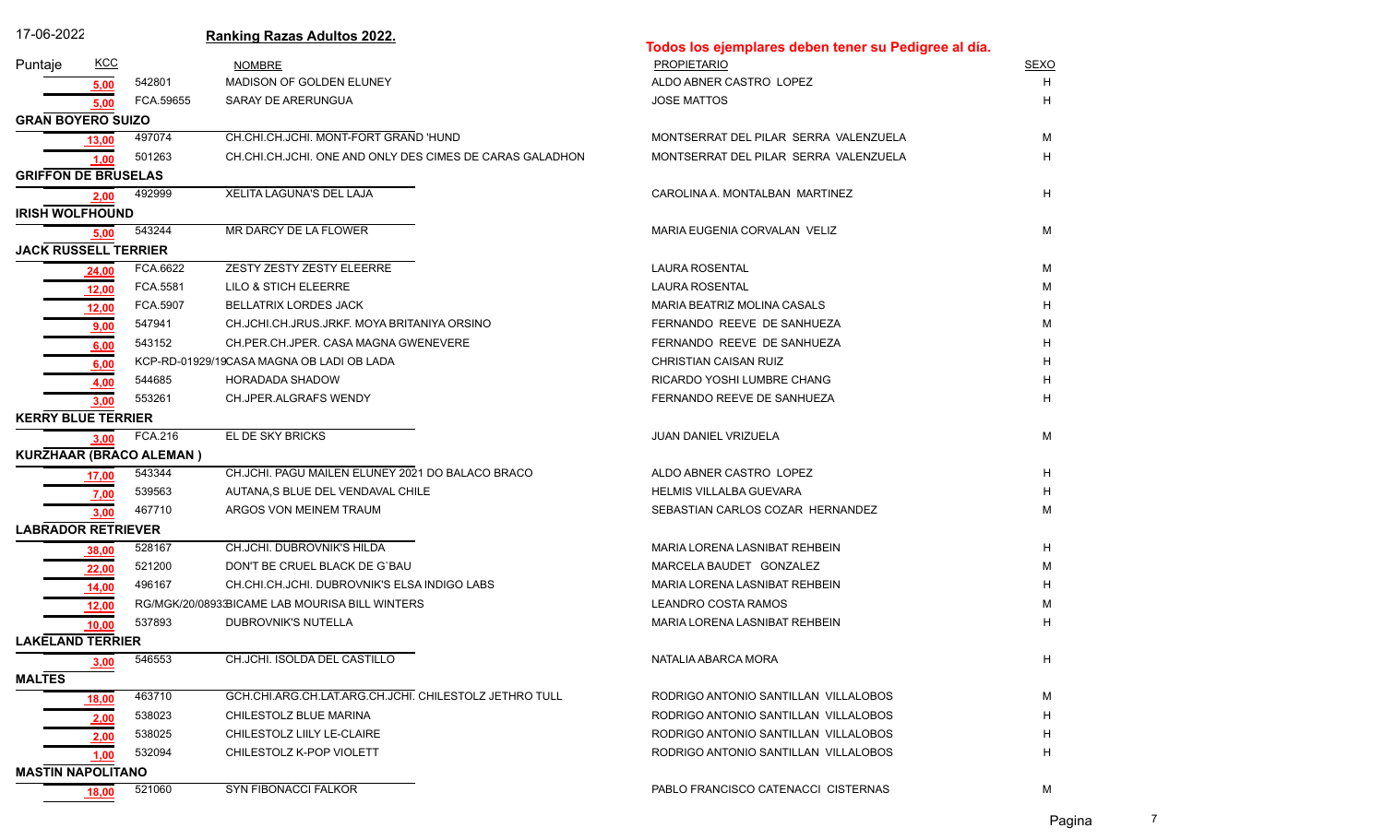| 17-06-2022                  |             |                         | <b>Ranking Razas Adultos 2022.</b>                       | Todos los ejemplares deben tener su Pedigree al día. |             |  |
|-----------------------------|-------------|-------------------------|----------------------------------------------------------|------------------------------------------------------|-------------|--|
| Puntaje                     | <u>KCC</u>  |                         | <b>NOMBRE</b>                                            | <b>PROPIETARIO</b>                                   | <b>SEXO</b> |  |
|                             | 5,00        | 542801                  | MADISON OF GOLDEN ELUNEY                                 | ALDO ABNER CASTRO LOPEZ                              | H           |  |
|                             | 5,00        | FCA 59655               | SARAY DE ARERUNGUA                                       | <b>JOSE MATTOS</b>                                   | н           |  |
| <b>GRAN BOYERO SUIZO</b>    |             |                         |                                                          |                                                      |             |  |
|                             | 13,00       | 497074                  | CH.CHI.CH.JCHI. MONT-FORT GRAND 'HUND                    | MONTSERRAT DEL PILAR SERRA VALENZUELA                | м           |  |
|                             | 1,00        | 501263                  | CH.CHI.CH.JCHI. ONE AND ONLY DES CIMES DE CARAS GALADHON | MONTSERRAT DEL PILAR SERRA VALENZUELA                | н           |  |
| <b>GRIFFON DE BRUSELAS</b>  |             |                         |                                                          |                                                      |             |  |
|                             | 2,00        | 492999                  | <b>XELITA LAGUNA'S DEL LAJA</b>                          | CAROLINA A. MONTALBAN MARTINEZ                       | H           |  |
| <b>IRISH WOLFHOUND</b>      |             |                         |                                                          |                                                      |             |  |
|                             | 5,00        | 543244                  | MR DARCY DE LA FLOWER                                    | MARIA EUGENIA CORVALAN VELIZ                         | M           |  |
| <b>JACK RUSSELL TERRIER</b> |             |                         |                                                          |                                                      |             |  |
|                             | 24,00       | FCA.6622                | ZESTY ZESTY ZESTY ELEERRE                                | <b>LAURA ROSENTAL</b>                                | м           |  |
|                             | 12,00       | FCA.5581                | LILO & STICH ELEERRE                                     | <b>LAURA ROSENTAL</b>                                | M           |  |
|                             | 12,00       | FCA.5907                | BELLATRIX LORDES JACK                                    | MARIA BEATRIZ MOLINA CASALS                          | н           |  |
|                             | 9,00        | 547941                  | CH.JCHI.CH.JRUS.JRKF. MOYA BRITANIYA ORSINO              | FERNANDO REEVE DE SANHUEZA                           | M           |  |
|                             | 6,00        | 543152                  | CH.PER.CH.JPER. CASA MAGNA GWENEVERE                     | FERNANDO REEVE DE SANHUEZA                           | н           |  |
|                             | 6,00        |                         | KCP-RD-01929/19CASA MAGNA OB LADI OB LADA                | CHRISTIAN CAISAN RUIZ                                | н           |  |
|                             | 4,00        | 544685                  | HORADADA SHADOW                                          | RICARDO YOSHI LUMBRE CHANG                           | н           |  |
|                             | 3,00        | 553261                  | CH.JPER.ALGRAFS WENDY                                    | FERNANDO REEVE DE SANHUEZA                           | H           |  |
| <b>KERRY BLUE TERRIER</b>   |             |                         |                                                          |                                                      |             |  |
|                             | 3,00        | FCA.216                 | EL DE SKY BRICKS                                         | <b>JUAN DANIEL VRIZUELA</b>                          | M           |  |
|                             |             | KURZHAAR (BRACO ALEMAN) |                                                          |                                                      |             |  |
|                             | 17,00       | 543344                  | CH.JCHI. PAGU MAILEN ELUNEY 2021 DO BALACO BRACO         | ALDO ABNER CASTRO LOPEZ                              | H           |  |
|                             | 7,00        | 539563                  | AUTANA, S BLUE DEL VENDAVAL CHILE                        | <b>HELMIS VILLALBA GUEVARA</b>                       | н           |  |
|                             | 3,00        | 467710                  | ARGOS VON MEINEM TRAUM                                   | SEBASTIAN CARLOS COZAR HERNANDEZ                     | M           |  |
| <b>LABRADOR RETRIEVER</b>   |             |                         |                                                          |                                                      |             |  |
|                             | 38,00       | 528167                  | CH.JCHI. DUBROVNIK'S HILDA                               | MARIA LORENA LASNIBAT REHBEIN                        | н           |  |
|                             | 22,00       | 521200                  | DON'T BE CRUEL BLACK DE G'BAU                            | MARCELA BAUDET GONZALEZ                              | м           |  |
|                             | 14,00       | 496167                  | CH.CHI.CH.JCHI. DUBROVNIK'S ELSA INDIGO LABS             | MARIA LORENA LASNIBAT REHBEIN                        | н           |  |
|                             | 12,00       |                         | RG/MGK/20/08933BICAME LAB MOURISA BILL WINTERS           | LEANDRO COSTA RAMOS                                  | M           |  |
|                             | 10,00       | 537893                  | DUBROVNIK'S NUTELLA                                      | MARIA LORENA LASNIBAT REHBEIN                        | н           |  |
| <b>LAKELAND TERRIER</b>     |             |                         |                                                          |                                                      |             |  |
|                             | 3,00        | 546553                  | CH.JCHI. ISOLDA DEL CASTILLO                             | NATALIA ABARCA MORA                                  | н           |  |
| <b>MALTES</b>               |             |                         |                                                          |                                                      |             |  |
|                             | 18,00       | 463710                  | GCH.CHI.ARG.CH.LAT.ARG.CH.JCHI. CHILESTOLZ JETHRO TULL   | RODRIGO ANTONIO SANTILLAN VILLALOBOS                 | M           |  |
|                             | 2,00        | 538023                  | CHILESTOLZ BLUE MARINA                                   | RODRIGO ANTONIO SANTILLAN VILLALOBOS                 | н           |  |
|                             | <u>2,00</u> | 538025                  | CHILESTOLZ LIILY LE-CLAIRE                               | RODRIGO ANTONIO SANTILLAN VILLALOBOS                 | н           |  |
|                             | 1,00        | 532094                  | CHILESTOLZ K-POP VIOLETT                                 | RODRIGO ANTONIO SANTILLAN VILLALOBOS                 | н           |  |
| <b>MASTIN NAPOLITANO</b>    |             |                         |                                                          |                                                      |             |  |
|                             | 18,00       | 521060                  | SYN FIBONACCI FALKOR                                     | PABLO FRANCISCO CATENACCI CISTERNAS                  | M           |  |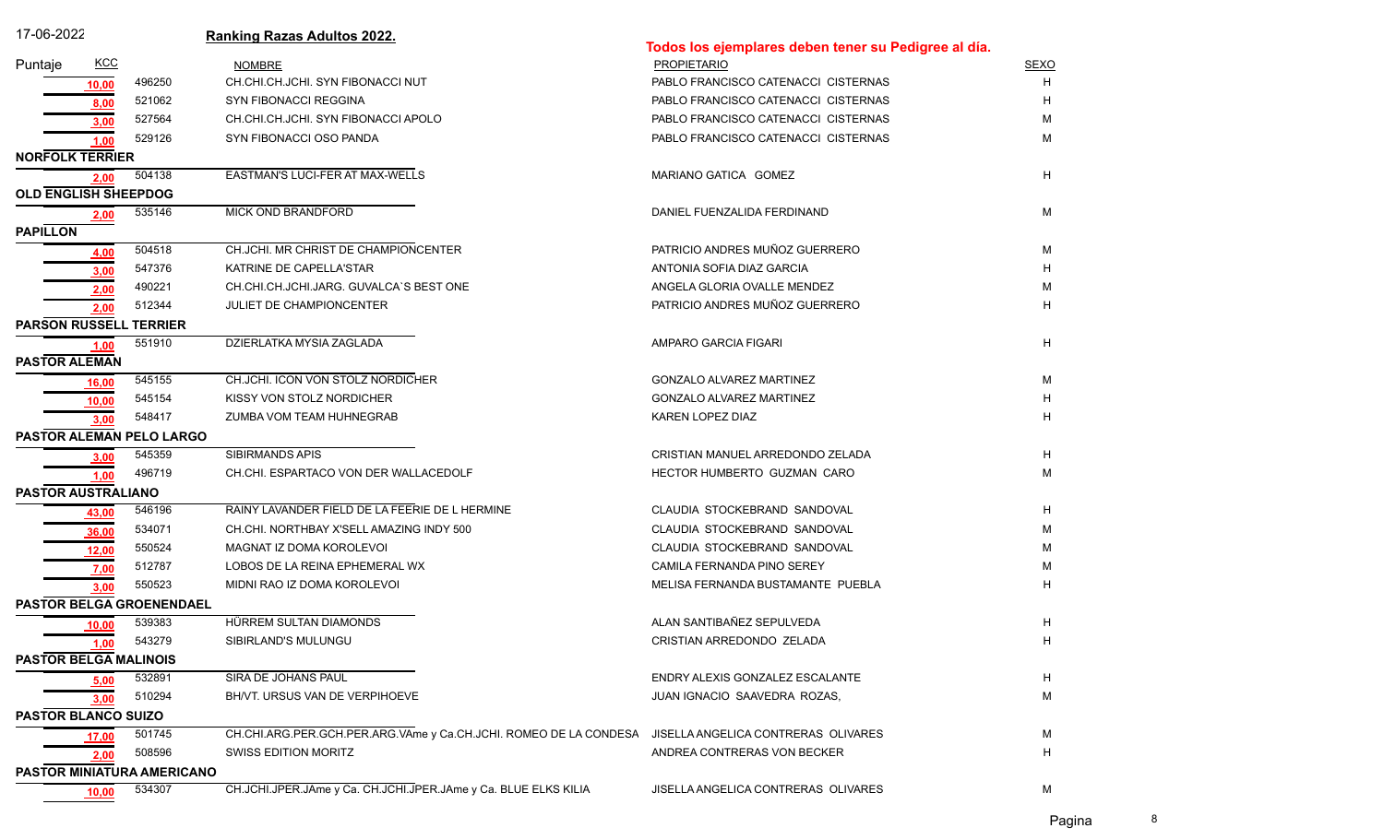| 17-06-2022                         |        | <b>Ranking Razas Adultos 2022.</b>                                |                                                      |             |
|------------------------------------|--------|-------------------------------------------------------------------|------------------------------------------------------|-------------|
|                                    |        |                                                                   | Todos los ejemplares deben tener su Pedigree al día. |             |
| KCC<br>Puntaje                     |        | <b>NOMBRE</b>                                                     | <b>PROPIETARIO</b>                                   | <b>SEXO</b> |
| 10,00                              | 496250 | CH.CHI.CH.JCHI. SYN FIBONACCI NUT                                 | PABLO FRANCISCO CATENACCI CISTERNAS                  | н           |
| 8,00                               | 521062 | SYN FIBONACCI REGGINA                                             | PABLO FRANCISCO CATENACCI CISTERNAS                  |             |
| 3,00                               | 527564 | CH.CHI.CH.JCHI. SYN FIBONACCI APOLO                               | PABLO FRANCISCO CATENACCI CISTERNAS                  | M           |
| 1,00                               | 529126 | SYN FIBONACCI OSO PANDA                                           | PABLO FRANCISCO CATENACCI CISTERNAS                  | M           |
| <b>NORFOLK TERRIER</b>             |        |                                                                   |                                                      |             |
| 2,00                               | 504138 | <b>EASTMAN'S LUCI-FER AT MAX-WELLS</b>                            | MARIANO GATICA GOMEZ                                 | H           |
| <b>OLD ENGLISH SHEEPDOG</b>        |        |                                                                   |                                                      |             |
| 2,00                               | 535146 | MICK OND BRANDFORD                                                | DANIEL FUENZALIDA FERDINAND                          | м           |
| <b>PAPILLON</b>                    |        |                                                                   |                                                      |             |
| 4,00                               | 504518 | CH.JCHI. MR CHRIST DE CHAMPIONCENTER                              | PATRICIO ANDRES MUÑOZ GUERRERO                       | M           |
| 3.00                               | 547376 | KATRINE DE CAPELLA'STAR                                           | ANTONIA SOFIA DIAZ GARCIA                            | н           |
| 2,00                               | 490221 | CH.CHI.CH.JCHI.JARG. GUVALCA'S BEST ONE                           | ANGELA GLORIA OVALLE MENDEZ                          | M           |
| 2,00                               | 512344 | JULIET DE CHAMPIONCENTER                                          | PATRICIO ANDRES MUÑOZ GUERRERO                       | н           |
| <b>PARSON RUSSELL TERRIER</b>      |        |                                                                   |                                                      |             |
| 1,00                               | 551910 | DZIERLATKA MYSIA ZAGLADA                                          | AMPARO GARCIA FIGARI                                 | H           |
| <b>PASTOR ALEMAN</b>               |        |                                                                   |                                                      |             |
| 16,00                              | 545155 | CH.JCHI. ICON VON STOLZ NORDICHER                                 | <b>GONZALO ALVAREZ MARTINEZ</b>                      | м           |
| 10,00                              | 545154 | KISSY VON STOLZ NORDICHER                                         | <b>GONZALO ALVAREZ MARTINEZ</b>                      | н           |
| 3,00                               | 548417 | ZUMBA VOM TEAM HUHNEGRAB                                          | KAREN LOPEZ DIAZ                                     | н           |
| PASTOR ALEMAN PELO LARGO           |        |                                                                   |                                                      |             |
| 3,00                               | 545359 | <b>SIBIRMANDS APIS</b>                                            | CRISTIAN MANUEL ARREDONDO ZELADA                     | H           |
| 1,00                               | 496719 | CH.CHI. ESPARTACO VON DER WALLACEDOLF                             | HECTOR HUMBERTO GUZMAN CARO                          | M           |
| PASTOR AUSTRALIANO                 |        |                                                                   |                                                      |             |
| 43,00                              | 546196 | RAINY LAVANDER FIELD DE LA FEERIE DE L HERMINE                    | CLAUDIA STOCKEBRAND SANDOVAL                         | н           |
| 36,00                              | 534071 | CH.CHI. NORTHBAY X'SELL AMAZING INDY 500                          | CLAUDIA STOCKEBRAND SANDOVAL                         | м           |
| 12,00                              | 550524 | MAGNAT IZ DOMA KOROLEVOI                                          | CLAUDIA STOCKEBRAND SANDOVAL                         | M           |
| 7,00                               | 512787 | LOBOS DE LA REINA EPHEMERAL WX                                    | CAMILA FERNANDA PINO SEREY                           | м           |
| 3,00                               | 550523 | MIDNI RAO IZ DOMA KOROLEVOI                                       | MELISA FERNANDA BUSTAMANTE PUEBLA                    | н           |
| PASTOR BELGA GROENENDAEL           |        |                                                                   |                                                      |             |
| 10,00                              | 539383 | HÜRREM SULTAN DIAMONDS                                            | ALAN SANTIBAÑEZ SEPULVEDA                            | н           |
| <u>1,00</u>                        | 543279 | SIBIRLAND'S MULUNGU                                               | CRISTIAN ARREDONDO ZELADA                            | H.          |
| <b>PASTOR BELGA MALINOIS</b>       |        |                                                                   |                                                      |             |
| 5,00                               | 532891 | SIRA DE JOHANS PAUL                                               | ENDRY ALEXIS GONZALEZ ESCALANTE                      | H           |
|                                    | 510294 | BH/VT. URSUS VAN DE VERPIHOEVE                                    | JUAN IGNACIO SAAVEDRA ROZAS,                         | М           |
| 3,00<br><b>PASTOR BLANCO SUIZO</b> |        |                                                                   |                                                      |             |
|                                    | 501745 | CH.CHI.ARG.PER.GCH.PER.ARG.VAme y Ca.CH.JCHI. ROMEO DE LA CONDESA | JISELLA ANGELICA CONTRERAS OLIVARES                  | м           |
| 17,00                              | 508596 | SWISS EDITION MORITZ                                              | ANDREA CONTRERAS VON BECKER                          | H           |
| 2,00<br>PASTOR MINIATURA AMERICANO |        |                                                                   |                                                      |             |
|                                    | 534307 | CH.JCHI.JPER.JAme y Ca. CH.JCHI.JPER.JAme y Ca. BLUE ELKS KILIA   | JISELLA ANGELICA CONTRERAS OLIVARES                  | М           |
| 10,00                              |        |                                                                   |                                                      |             |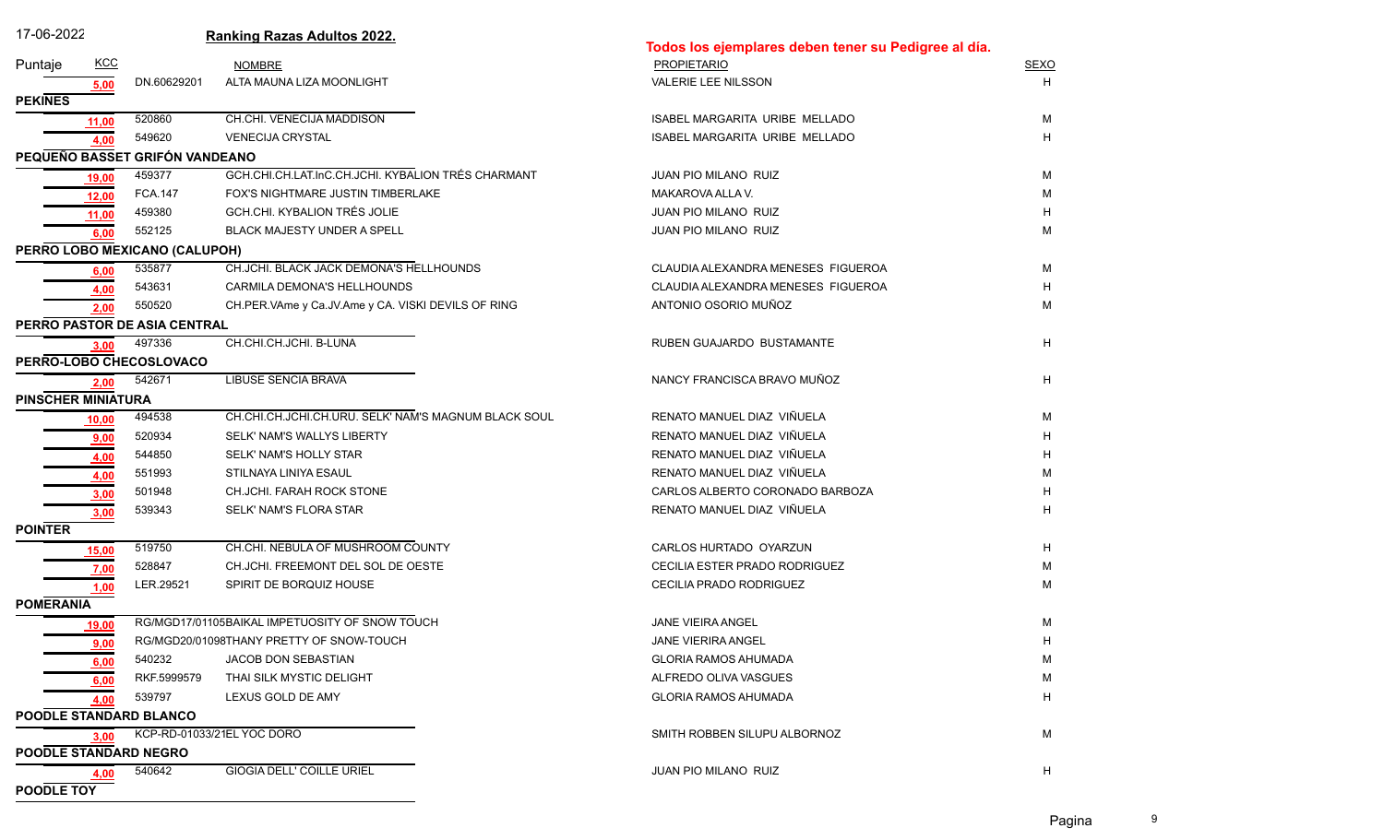| 17-06-2022                |             |                                | <b>Ranking Razas Adultos 2022.</b>                   | Todos los ejemplares deben tener su Pedigree al día. |             |
|---------------------------|-------------|--------------------------------|------------------------------------------------------|------------------------------------------------------|-------------|
| Puntaje                   | <b>KCC</b>  |                                | <b>NOMBRE</b>                                        | <b>PROPIETARIO</b>                                   | <b>SEXO</b> |
|                           | 5,00        | DN.60629201                    | ALTA MAUNA LIZA MOONLIGHT                            | <b>VALERIE LEE NILSSON</b>                           | H           |
| <b>PEKINES</b>            |             |                                |                                                      |                                                      |             |
|                           | 11,00       | 520860                         | CH.CHI. VENECIJA MADDISON                            | ISABEL MARGARITA URIBE MELLADO                       | М           |
|                           | 4,00        | 549620                         | <b>VENECIJA CRYSTAL</b>                              | ISABEL MARGARITA URIBE MELLADO                       | H           |
|                           |             | PEQUEÑO BASSET GRIFÓN VANDEANO |                                                      |                                                      |             |
|                           | 19,00       | 459377                         | GCH.CHI.CH.LAT.InC.CH.JCHI. KYBALION TRÉS CHARMANT   | JUAN PIO MILANO RUIZ                                 | М           |
|                           | 12,00       | <b>FCA.147</b>                 | FOX'S NIGHTMARE JUSTIN TIMBERLAKE                    | MAKAROVA ALLA V.                                     | М           |
|                           | 11,00       | 459380                         | GCH.CHI. KYBALION TRÉS JOLIE                         | <b>JUAN PIO MILANO RUIZ</b>                          | н           |
|                           | 6.00        | 552125                         | BLACK MAJESTY UNDER A SPELL                          | JUAN PIO MILANO RUIZ                                 | М           |
|                           |             | PERRO LOBO MEXICANO (CALUPOH)  |                                                      |                                                      |             |
|                           | 6.00        | 535877                         | CH.JCHI. BLACK JACK DEMONA'S HELLHOUNDS              | CLAUDIA ALEXANDRA MENESES FIGUEROA                   | М           |
|                           | 4,00        | 543631                         | CARMILA DEMONA'S HELLHOUNDS                          | CLAUDIA ALEXANDRA MENESES FIGUEROA                   | н           |
|                           | 2.00        | 550520                         | CH.PER.VAme y Ca.JV.Ame y CA. VISKI DEVILS OF RING   | ANTONIO OSORIO MUÑOZ                                 | М           |
|                           |             | PERRO PASTOR DE ASIA CENTRAL   |                                                      |                                                      |             |
|                           | 3,00        | 497336                         | CH.CHI.CH.JCHI. B-LUNA                               | RUBEN GUAJARDO BUSTAMANTE                            | H           |
|                           |             | PERRO-LOBO CHECOSLOVACO        |                                                      |                                                      |             |
|                           | 2,00        | 542671                         | <b>LIBUSE SENCIA BRAVA</b>                           | NANCY FRANCISCA BRAVO MUÑOZ                          | H           |
| <b>PINSCHER MINIATURA</b> |             |                                |                                                      |                                                      |             |
|                           | 10,00       | 494538                         | CH.CHI.CH.JCHI.CH.URU. SELK' NAM'S MAGNUM BLACK SOUL | RENATO MANUEL DIAZ VIÑUELA                           | М           |
|                           | 9,00        | 520934                         | SELK' NAM'S WALLYS LIBERTY                           | RENATO MANUEL DIAZ VIÑUELA                           |             |
|                           | 4,00        | 544850                         | SELK' NAM'S HOLLY STAR                               | RENATO MANUEL DIAZ VIÑUELA                           | н           |
|                           | 4,00        | 551993                         | STILNAYA LINIYA ESAUL                                | RENATO MANUEL DIAZ VIÑUELA                           | М           |
|                           | 3,00        | 501948                         | CH.JCHI. FARAH ROCK STONE                            | CARLOS ALBERTO CORONADO BARBOZA                      | H           |
|                           | 3,00        | 539343                         | SELK' NAM'S FLORA STAR                               | RENATO MANUEL DIAZ VIÑUELA                           | H           |
| <b>POINTER</b>            |             |                                |                                                      |                                                      |             |
|                           | 15,00       | 519750                         | CH.CHI. NEBULA OF MUSHROOM COUNTY                    | CARLOS HURTADO OYARZUN                               | H           |
|                           | 7,00        | 528847                         | CH.JCHI. FREEMONT DEL SOL DE OESTE                   | CECILIA ESTER PRADO RODRIGUEZ                        | м           |
|                           | 1,00        | LER.29521                      | SPIRIT DE BORQUIZ HOUSE                              | CECILIA PRADO RODRIGUEZ                              | М           |
| <b>POMERANIA</b>          |             |                                |                                                      |                                                      |             |
|                           | 19,00       |                                | RG/MGD17/01105BAIKAL IMPETUOSITY OF SNOW TOUCH       | <b>JANE VIEIRA ANGEL</b>                             | М           |
|                           | <b>A</b> 00 |                                | RG/MGD20/01098THANY PRETTY OF SNOW-TOUCH             | JANE VIERIRA ANGEL                                   |             |
|                           | 6,00        | 540232                         | JACOB DON SEBASTIAN                                  | <b>GLORIA RAMOS AHUMADA</b>                          | М           |
|                           | 6,00        | RKF.5999579                    | THAI SILK MYSTIC DELIGHT                             | ALFREDO OLIVA VASGUES                                | М           |
|                           | 4,00        | 539797                         | LEXUS GOLD DE AMY                                    | <b>GLORIA RAMOS AHUMADA</b>                          | H           |
|                           |             | <b>POODLE STANDARD BLANCO</b>  |                                                      |                                                      |             |
|                           | 3,00        |                                | KCP-RD-01033/21EL YOC DORO                           | SMITH ROBBEN SILUPU ALBORNOZ                         | М           |
|                           |             | POODLE STANDARD NEGRO          |                                                      |                                                      |             |
|                           | 4,00        | 540642                         | GIOGIA DELL' COILLE URIEL                            | JUAN PIO MILANO RUIZ                                 | H           |
| POODLE TOY                |             |                                |                                                      |                                                      |             |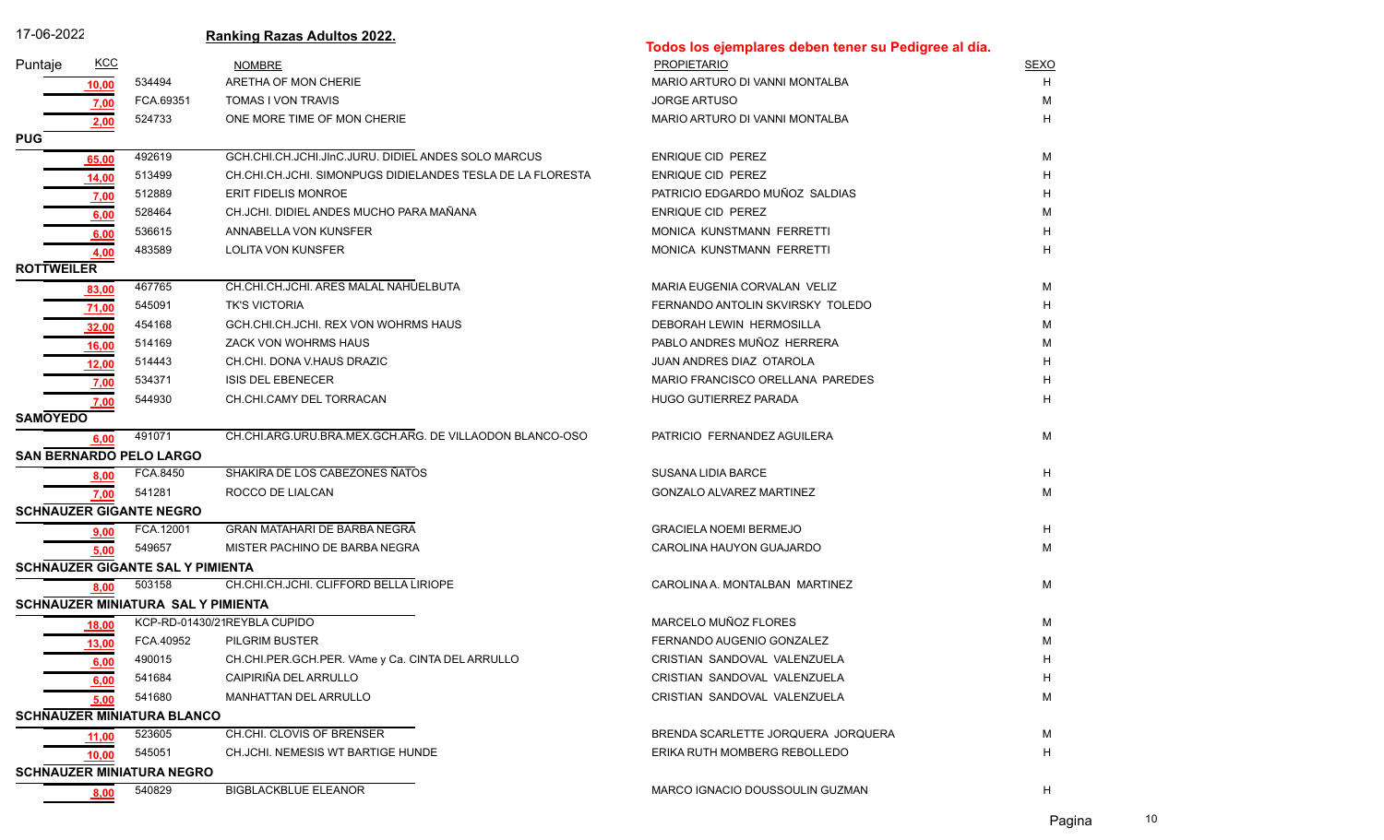| 17-06-2022        |              |                                           | <b>Ranking Razas Adultos 2022.</b>                         | Todos los ejemplares deben tener su Pedigree al día. |             |
|-------------------|--------------|-------------------------------------------|------------------------------------------------------------|------------------------------------------------------|-------------|
| Puntaje           | <b>KCC</b>   |                                           | <b>NOMBRE</b>                                              | <b>PROPIETARIO</b>                                   | <b>SEXO</b> |
|                   | 10,00        | 534494                                    | ARETHA OF MON CHERIE                                       | MARIO ARTURO DI VANNI MONTALBA                       | H           |
|                   | 7,00         | FCA.69351                                 | TOMAS I VON TRAVIS                                         | <b>JORGE ARTUSO</b>                                  | м           |
|                   | 2,00         | 524733                                    | ONE MORE TIME OF MON CHERIE                                | MARIO ARTURO DI VANNI MONTALBA                       | н           |
| <b>PUG</b>        |              |                                           |                                                            |                                                      |             |
|                   | 65,00        | 492619                                    | GCH.CHI.CH.JCHI.JInC.JURU. DIDIEL ANDES SOLO MARCUS        | ENRIQUE CID PEREZ                                    | М           |
|                   | 14,00        | 513499                                    | CH.CHI.CH.JCHI. SIMONPUGS DIDIELANDES TESLA DE LA FLORESTA | ENRIQUE CID PEREZ                                    |             |
|                   | 7,00         | 512889                                    | ERIT FIDELIS MONROE                                        | PATRICIO EDGARDO MUÑOZ SALDIAS                       |             |
|                   | 6,00         | 528464                                    | CH.JCHI. DIDIEL ANDES MUCHO PARA MAÑANA                    | ENRIQUE CID PEREZ                                    | м           |
|                   | 6,00         | 536615                                    | ANNABELLA VON KUNSFER                                      | MONICA KUNSTMANN FERRETTI                            |             |
|                   | 4,00         | 483589                                    | <b>LOLITA VON KUNSFER</b>                                  | MONICA KUNSTMANN FERRETTI                            |             |
| <b>ROTTWEILER</b> |              |                                           |                                                            |                                                      |             |
|                   | 83,00        | 467765                                    | CH.CHI.CH.JCHI. ARES MALAL NAHUELBUTA                      | MARIA EUGENIA CORVALAN VELIZ                         | М           |
|                   | 71,00        | 545091                                    | <b>TK'S VICTORIA</b>                                       | FERNANDO ANTOLIN SKVIRSKY TOLEDO                     |             |
|                   | 32,00        | 454168                                    | GCH.CHI.CH.JCHI. REX VON WOHRMS HAUS                       | DEBORAH LEWIN HERMOSILLA                             | м           |
|                   | 16,00        | 514169                                    | ZACK VON WOHRMS HAUS                                       | PABLO ANDRES MUÑOZ HERRERA                           | м           |
|                   | 12,00        | 514443                                    | CH.CHI. DONA V.HAUS DRAZIC                                 | JUAN ANDRES DIAZ OTAROLA                             |             |
|                   | 7,00         | 534371                                    | <b>ISIS DEL EBENECER</b>                                   | MARIO FRANCISCO ORELLANA PAREDES                     |             |
|                   | 7,00         | 544930                                    | CH.CHI.CAMY DEL TORRACAN                                   | <b>HUGO GUTIERREZ PARADA</b>                         | н           |
| <b>SAMOYEDO</b>   |              |                                           |                                                            |                                                      |             |
|                   | 6,00         | 491071                                    | CH.CHI.ARG.URU.BRA.MEX.GCH.ARG. DE VILLAODON BLANCO-OSO    | PATRICIO FERNANDEZ AGUILERA                          | М           |
|                   |              | SAN BERNARDO PELO LARGO                   |                                                            |                                                      |             |
|                   | 8,00         | FCA.8450                                  | SHAKIRA DE LOS CABEZONES ÑATOS                             | <b>SUSANA LIDIA BARCE</b>                            | н           |
|                   | 7,00         | 541281                                    | ROCCO DE LIALCAN                                           | GONZALO ALVAREZ MARTINEZ                             | М           |
|                   |              | <b>SCHNAUZER GIGANTE NEGRO</b>            |                                                            |                                                      |             |
|                   | 9,00         | FCA 12001                                 | <b>GRAN MATAHARI DE BARBA NEGRA</b>                        | <b>GRACIELA NOEMI BERMEJO</b>                        | H           |
|                   | 5,00         | 549657                                    | MISTER PACHINO DE BARBA NEGRA                              | CAROLINA HAUYON GUAJARDO                             | М           |
|                   |              | <b>SCHNAUZER GIGANTE SAL Y PIMIENTA</b>   |                                                            |                                                      |             |
|                   | 8,00         | 503158                                    | CH.CHI.CH.JCHI. CLIFFORD BELLA LIRIOPE                     | CAROLINA A. MONTALBAN MARTINEZ                       | М           |
|                   |              | <b>SCHNAUZER MINIATURA SAL Y PIMIENTA</b> |                                                            |                                                      |             |
|                   | <u>18,00</u> |                                           | KCP-RD-01430/21REYBLA CUPIDO                               | MARCELO MUÑOZ FLORES                                 | М           |
|                   | 13,00        |                                           | FCA.40952 PILGRIM BUSTER                                   | FERNANDO AUGENIO GONZALEZ                            |             |
|                   | 6,00         | 490015                                    | CH.CHI.PER.GCH.PER. VAme y Ca. CINTA DEL ARRULLO           | CRISTIAN SANDOVAL VALENZUELA                         | н           |
|                   | 6,00         | 541684                                    | CAIPIRIÑA DEL ARRULLO                                      | CRISTIAN SANDOVAL VALENZUELA                         | н           |
|                   | <u>5,00</u>  | 541680                                    | <b>MANHATTAN DEL ARRULLO</b>                               | CRISTIAN SANDOVAL VALENZUELA                         | М           |
|                   |              | <b>SCHNAUZER MINIATURA BLANCO</b>         |                                                            |                                                      |             |
|                   | 11,00        | 523605                                    | CH.CHI. CLOVIS OF BRENSER                                  | BRENDA SCARLETTE JORQUERA JORQUERA                   | М           |
|                   | 10.00        | 545051                                    | CH.JCHI. NEMESIS WT BARTIGE HUNDE                          | ERIKA RUTH MOMBERG REBOLLEDO                         | н           |
|                   |              | <b>SCHNAUZER MINIATURA NEGRO</b>          |                                                            |                                                      |             |
|                   | 8,00         | 540829                                    | <b>BIGBLACKBLUE ELEANOR</b>                                | MARCO IGNACIO DOUSSOULIN GUZMAN                      | н           |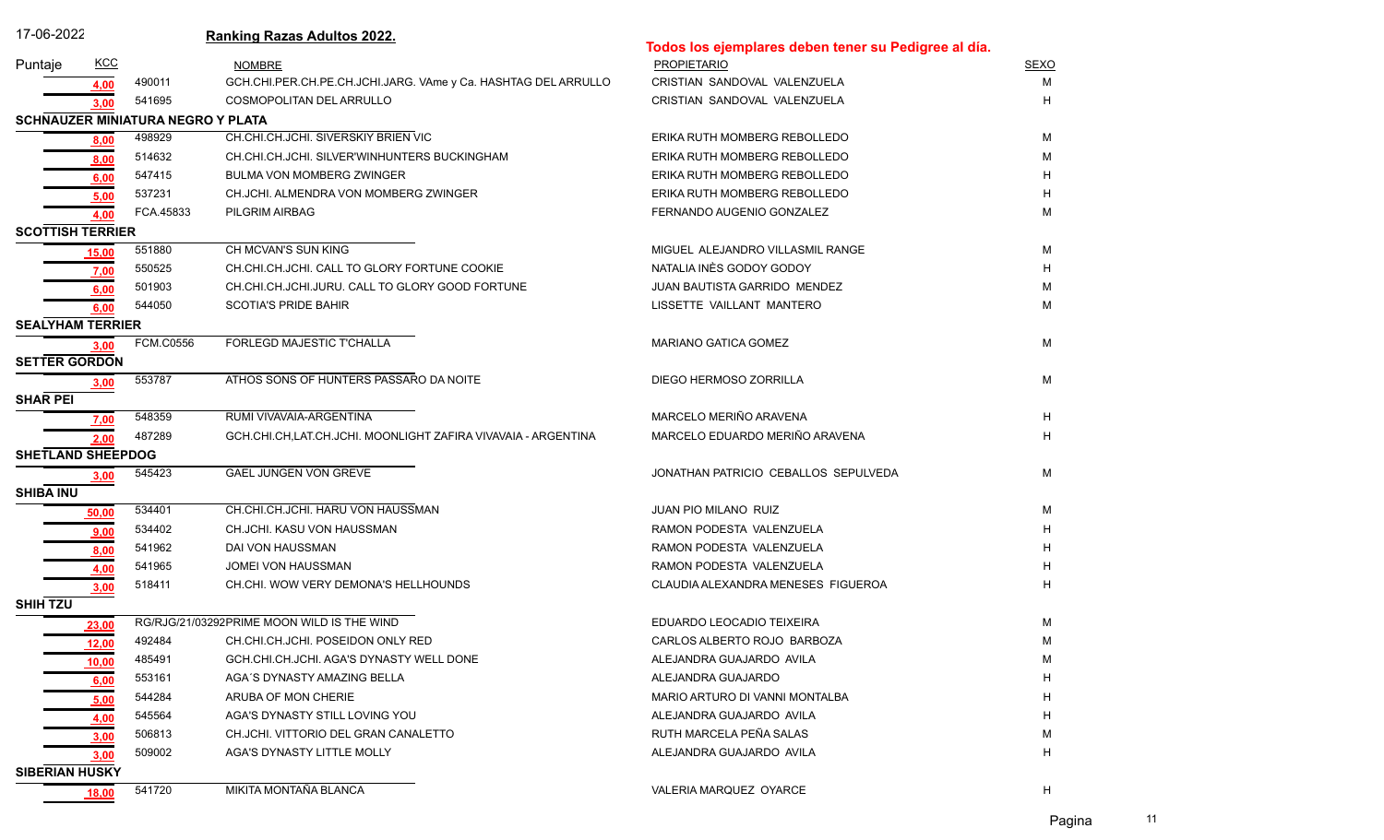| 17-06-2022               |              |                                          | <b>Ranking Razas Adultos 2022.</b>                             |                                                      |             |
|--------------------------|--------------|------------------------------------------|----------------------------------------------------------------|------------------------------------------------------|-------------|
|                          |              |                                          |                                                                | Todos los ejemplares deben tener su Pedigree al día. |             |
| Puntaje                  | <b>KCC</b>   |                                          | <b>NOMBRE</b>                                                  | <b>PROPIETARIO</b>                                   | <b>SEXO</b> |
|                          | 4.00         | 490011                                   | GCH.CHI.PER.CH.PE.CH.JCHI.JARG. VAme y Ca. HASHTAG DEL ARRULLO | CRISTIAN SANDOVAL VALENZUELA                         | M           |
|                          | 3,00         | 541695                                   | <b>COSMOPOLITAN DEL ARRULLO</b>                                | CRISTIAN SANDOVAL VALENZUELA                         | H           |
|                          |              | <b>SCHNAUZER MINIATURA NEGRO Y PLATA</b> |                                                                |                                                      |             |
|                          | 8,00         | 498929                                   | CH.CHI.CH.JCHI. SIVERSKIY BRIEN VIC                            | ERIKA RUTH MOMBERG REBOLLEDO                         | M           |
|                          | 8,00         | 514632                                   | CH.CHI.CH.JCHI. SILVER'WINHUNTERS BUCKINGHAM                   | ERIKA RUTH MOMBERG REBOLLEDO                         | M           |
|                          | 6,00         | 547415                                   | <b>BULMA VON MOMBERG ZWINGER</b>                               | ERIKA RUTH MOMBERG REBOLLEDO                         | н           |
|                          | 5,00         | 537231                                   | CH.JCHI. ALMENDRA VON MOMBERG ZWINGER                          | ERIKA RUTH MOMBERG REBOLLEDO                         | н           |
|                          | 4,00         | FCA.45833                                | PILGRIM AIRBAG                                                 | FERNANDO AUGENIO GONZALEZ                            | м           |
| <b>SCOTTISH TERRIER</b>  |              |                                          |                                                                |                                                      |             |
|                          | <u>15,00</u> | 551880                                   | CH MCVAN'S SUN KING                                            | MIGUEL ALEJANDRO VILLASMIL RANGE                     | м           |
|                          | 7,00         | 550525                                   | CH.CHI.CH.JCHI. CALL TO GLORY FORTUNE COOKIE                   | NATALIA INÈS GODOY GODOY                             | н           |
|                          | 6,00         | 501903                                   | CH.CHI.CH.JCHI.JURU. CALL TO GLORY GOOD FORTUNE                | JUAN BAUTISTA GARRIDO MENDEZ                         | м           |
|                          | 6,00         | 544050                                   | <b>SCOTIA'S PRIDE BAHIR</b>                                    | LISSETTE VAILLANT MANTERO                            | M           |
| <b>SEALYHAM TERRIER</b>  |              |                                          |                                                                |                                                      |             |
|                          | <u>3,00</u>  | <b>FCM.C0556</b>                         | <b>FORLEGD MAJESTIC T'CHALLA</b>                               | <b>MARIANO GATICA GOMEZ</b>                          | М           |
| <b>SETTER GORDON</b>     |              |                                          |                                                                |                                                      |             |
|                          | 3,00         | 553787                                   | ATHOS SONS OF HUNTERS PASSARO DA NOITE                         | DIEGO HERMOSO ZORRILLA                               | М           |
| <b>SHAR PEI</b>          |              |                                          |                                                                |                                                      |             |
|                          | 7,00         | 548359                                   | RUMI VIVAVAIA-ARGENTINA                                        | MARCELO MERIÑO ARAVENA                               | H           |
|                          | 2,00         | 487289                                   | GCH.CHI.CH,LAT.CH.JCHI. MOONLIGHT ZAFIRA VIVAVAIA - ARGENTINA  | MARCELO EDUARDO MERIÑO ARAVENA                       | н           |
| <b>SHETLAND SHEEPDOG</b> |              |                                          |                                                                |                                                      |             |
|                          | 3,00         | 545423                                   | <b>GAEL JUNGEN VON GREVE</b>                                   | JONATHAN PATRICIO CEBALLOS SEPULVEDA                 | м           |
| <b>SHIBA INU</b>         |              |                                          |                                                                |                                                      |             |
|                          | 50,00        | 534401                                   | CH.CHI.CH.JCHI. HARU VON HAUSSMAN                              | <b>JUAN PIO MILANO RUIZ</b>                          | M           |
|                          | 9,00         | 534402                                   | CH.JCHI. KASU VON HAUSSMAN                                     | RAMON PODESTA VALENZUELA                             | н           |
|                          | 8,00         | 541962                                   | DAI VON HAUSSMAN                                               | RAMON PODESTA VALENZUELA                             |             |
|                          | 4,00         | 541965                                   | JOMEI VON HAUSSMAN                                             | RAMON PODESTA VALENZUELA                             |             |
|                          | 3,00         | 518411                                   | CH.CHI. WOW VERY DEMONA'S HELLHOUNDS                           | CLAUDIA ALEXANDRA MENESES FIGUEROA                   | н           |
| SHIH TZU                 |              |                                          |                                                                |                                                      |             |
|                          | 23,00        |                                          | RG/RJG/21/03292PRIME MOON WILD IS THE WIND                     | EDUARDO LEOCADIO TEIXEIRA                            | м           |
|                          | 12,00        | 492484                                   | CH.CHI.CH.JCHI. POSEIDON ONLY RED                              | CARLOS ALBERTO ROJO BARBOZA                          |             |
|                          | 10,00        | 485491                                   | GCH.CHI.CH.JCHI. AGA'S DYNASTY WELL DONE                       | ALEJANDRA GUAJARDO AVILA                             | M           |
|                          | 6,00         | 553161                                   | AGA'S DYNASTY AMAZING BELLA                                    | ALEJANDRA GUAJARDO                                   | н           |
|                          | 5,00         | 544284                                   | ARUBA OF MON CHERIE                                            | MARIO ARTURO DI VANNI MONTALBA                       | н           |
|                          | 4,00         | 545564                                   | AGA'S DYNASTY STILL LOVING YOU                                 | ALEJANDRA GUAJARDO AVILA                             | н           |
|                          | 3,00         | 506813                                   | CH.JCHI. VITTORIO DEL GRAN CANALETTO                           | RUTH MARCELA PEÑA SALAS                              | М           |
|                          | 3,00         | 509002                                   | AGA'S DYNASTY LITTLE MOLLY                                     | ALEJANDRA GUAJARDO AVILA                             | н           |
| <b>SIBERIAN HUSKY</b>    |              |                                          |                                                                |                                                      |             |
|                          | 18,00        | 541720                                   | MIKITA MONTAÑA BLANCA                                          | VALERIA MARQUEZ OYARCE                               | н           |
|                          |              |                                          |                                                                |                                                      |             |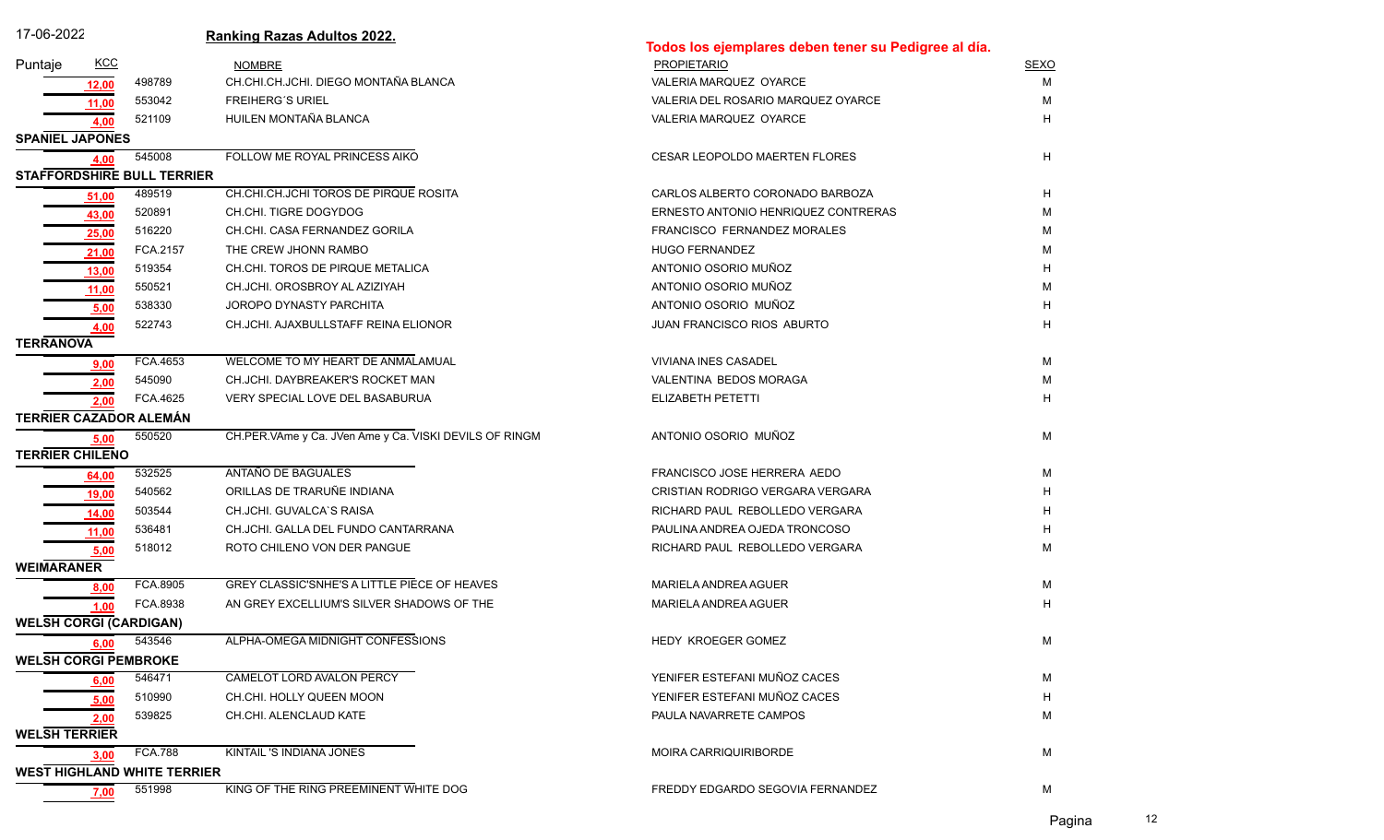| 17-06-2022                         |                |                                   | <b>Ranking Razas Adultos 2022.</b>                     | Todos los ejemplares deben tener su Pedigree al día. |             |  |  |  |  |
|------------------------------------|----------------|-----------------------------------|--------------------------------------------------------|------------------------------------------------------|-------------|--|--|--|--|
| Puntaje                            | <b>KCC</b>     |                                   | <b>NOMBRE</b>                                          | <b>PROPIETARIO</b>                                   | <b>SEXO</b> |  |  |  |  |
|                                    |                | 498789                            | CH.CHI.CH.JCHI. DIEGO MONTAÑA BLANCA                   | VALERIA MARQUEZ OYARCE                               | м           |  |  |  |  |
|                                    | 12,00<br>11,00 | 553042                            | <b>FREIHERG'S URIEL</b>                                | VALERIA DEL ROSARIO MARQUEZ OYARCE                   | М           |  |  |  |  |
|                                    | 4,00           | 521109                            | HUILEN MONTAÑA BLANCA                                  | VALERIA MARQUEZ OYARCE                               | н           |  |  |  |  |
| <b>SPANIEL JAPONES</b>             |                |                                   |                                                        |                                                      |             |  |  |  |  |
|                                    | 4,00           | 545008                            | FOLLOW ME ROYAL PRINCESS AIKO                          | <b>CESAR LEOPOLDO MAERTEN FLORES</b>                 | H           |  |  |  |  |
|                                    |                | <b>STAFFORDSHIRE BULL TERRIER</b> |                                                        |                                                      |             |  |  |  |  |
|                                    | 51,00          | 489519                            | CH.CHI.CH.JCHI TOROS DE PIRQUE ROSITA                  | CARLOS ALBERTO CORONADO BARBOZA                      | Η           |  |  |  |  |
|                                    | 43,00          | 520891                            | CH.CHI. TIGRE DOGYDOG                                  | ERNESTO ANTONIO HENRIQUEZ CONTRERAS                  | М           |  |  |  |  |
|                                    | 25,00          | 516220                            | CH.CHI. CASA FERNANDEZ GORILA                          | FRANCISCO FERNANDEZ MORALES                          | М           |  |  |  |  |
|                                    | 21,00          | FCA.2157                          | THE CREW JHONN RAMBO                                   | <b>HUGO FERNANDEZ</b>                                | м           |  |  |  |  |
|                                    | 13,00          | 519354                            | CH.CHI. TOROS DE PIRQUE METALICA                       | ANTONIO OSORIO MUÑOZ                                 | н           |  |  |  |  |
|                                    | 11,00          | 550521                            | CH.JCHI. OROSBROY AL AZIZIYAH                          | ANTONIO OSORIO MUÑOZ                                 | М           |  |  |  |  |
|                                    | 5,00           | 538330                            | JOROPO DYNASTY PARCHITA                                | ANTONIO OSORIO MUÑOZ                                 | н           |  |  |  |  |
|                                    | 4,00           | 522743                            | CH.JCHI. AJAXBULLSTAFF REINA ELIONOR                   | JUAN FRANCISCO RIOS ABURTO                           | H           |  |  |  |  |
| <b>TERRANOVA</b>                   |                |                                   |                                                        |                                                      |             |  |  |  |  |
|                                    | <u>9,00</u>    | FCA.4653                          | WELCOME TO MY HEART DE ANMALAMUAL                      | <b>VIVIANA INES CASADEL</b>                          | М           |  |  |  |  |
|                                    | 2,00           | 545090                            | CH.JCHI. DAYBREAKER'S ROCKET MAN                       | VALENTINA BEDOS MORAGA                               | M           |  |  |  |  |
|                                    | 2.00           | FCA.4625                          | VERY SPECIAL LOVE DEL BASABURUA                        | ELIZABETH PETETTI                                    | н           |  |  |  |  |
| <b>TERRIER CAZADOR ALEMÁN</b>      |                |                                   |                                                        |                                                      |             |  |  |  |  |
|                                    | 5,00           | 550520                            | CH.PER.VAme y Ca. JVen Ame y Ca. VISKI DEVILS OF RINGM | ANTONIO OSORIO MUÑOZ                                 | М           |  |  |  |  |
| <b>TERRIER CHILENO</b>             |                |                                   |                                                        |                                                      |             |  |  |  |  |
|                                    | 64,00          | 532525                            | ANTAÑO DE BAGUALES                                     | FRANCISCO JOSE HERRERA AEDO                          | м           |  |  |  |  |
|                                    | 19,00          | 540562                            | ORILLAS DE TRARUÑE INDIANA                             | CRISTIAN RODRIGO VERGARA VERGARA                     | н           |  |  |  |  |
|                                    | 14,00          | 503544                            | CH.JCHI. GUVALCA'S RAISA                               | RICHARD PAUL REBOLLEDO VERGARA                       | н           |  |  |  |  |
|                                    | 11,00          | 536481                            | CH.JCHI. GALLA DEL FUNDO CANTARRANA                    | PAULINA ANDREA OJEDA TRONCOSO                        | Н           |  |  |  |  |
|                                    | 5,00           | 518012                            | ROTO CHILENO VON DER PANGUE                            | RICHARD PAUL REBOLLEDO VERGARA                       | М           |  |  |  |  |
| <b>WEIMARANER</b>                  |                |                                   | <b>GREY CLASSIC'SNHE'S A LITTLE PIECE OF HEAVES</b>    |                                                      |             |  |  |  |  |
|                                    | 8,00           | FCA.8905                          |                                                        | MARIELA ANDREA AGUER                                 | М<br>H      |  |  |  |  |
|                                    | 1.00           | FCA.8938                          | AN GREY EXCELLIUM'S SILVER SHADOWS OF THE              | MARIELA ANDREA AGUER                                 |             |  |  |  |  |
|                                    |                | <b>WELSH CORGI (CARDIGAN)</b>     | ALPHA-OMEGA MIDNIGHT CONFESSIONS                       | HEDY KROEGER GOMEZ                                   | M           |  |  |  |  |
| <b>WELSH CORGI PEMBROKE</b>        |                | $6,00$ $543546$                   |                                                        |                                                      |             |  |  |  |  |
|                                    |                | 546471                            | CAMELOT LORD AVALON PERCY                              | YENIFER ESTEFANI MUÑOZ CACES                         | M           |  |  |  |  |
|                                    | 6,00           | 510990                            | CH.CHI. HOLLY QUEEN MOON                               | YENIFER ESTEFANI MUÑOZ CACES                         | н           |  |  |  |  |
|                                    | 5,00           | 539825                            | CH.CHI. ALENCLAUD KATE                                 | PAULA NAVARRETE CAMPOS                               | М           |  |  |  |  |
| <b>WELSH TERRIER</b>               | 2,00           |                                   |                                                        |                                                      |             |  |  |  |  |
|                                    | 3,00           | <b>FCA.788</b>                    | KINTAIL 'S INDIANA JONES                               | MOIRA CARRIQUIRIBORDE                                | М           |  |  |  |  |
| <b>WEST HIGHLAND WHITE TERRIER</b> |                |                                   |                                                        |                                                      |             |  |  |  |  |
|                                    | 7,00           | 551998                            | KING OF THE RING PREEMINENT WHITE DOG                  | FREDDY EDGARDO SEGOVIA FERNANDEZ                     | М           |  |  |  |  |
|                                    |                |                                   |                                                        |                                                      |             |  |  |  |  |